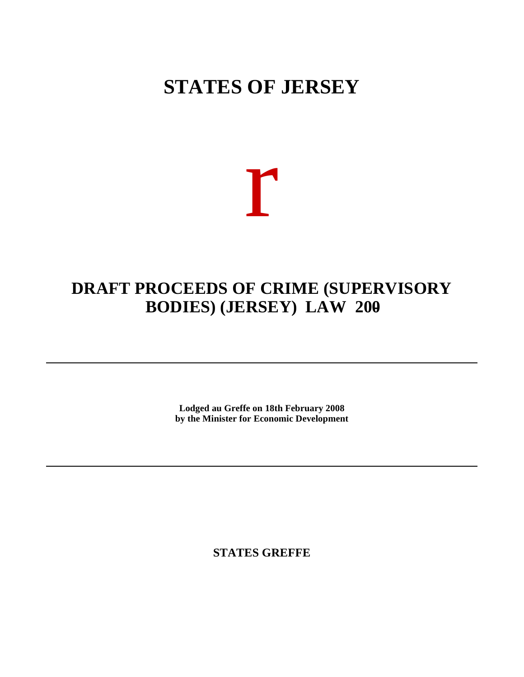# **STATES OF JERSEY**

# r

# **DRAFT PROCEEDS OF CRIME (SUPERVISORY BODIES) (JERSEY) LAW 200-**

**Lodged au Greffe on 18th February 2008 by the Minister for Economic Development**

**STATES GREFFE**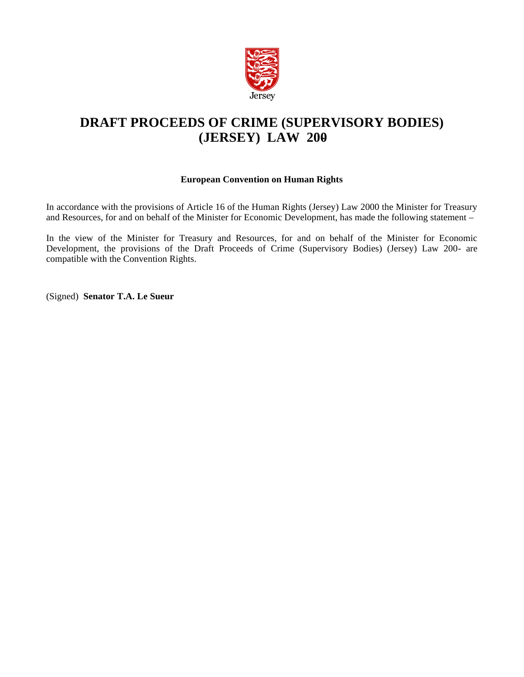

# **DRAFT PROCEEDS OF CRIME (SUPERVISORY BODIES) (JERSEY) LAW 200-**

# **European Convention on Human Rights**

In accordance with the provisions of Article 16 of the Human Rights (Jersey) Law 2000 the Minister for Treasury and Resources, for and on behalf of the Minister for Economic Development, has made the following statement –

In the view of the Minister for Treasury and Resources, for and on behalf of the Minister for Economic Development, the provisions of the Draft Proceeds of Crime (Supervisory Bodies) (Jersey) Law 200- are compatible with the Convention Rights.

(Signed) **Senator T.A. Le Sueur**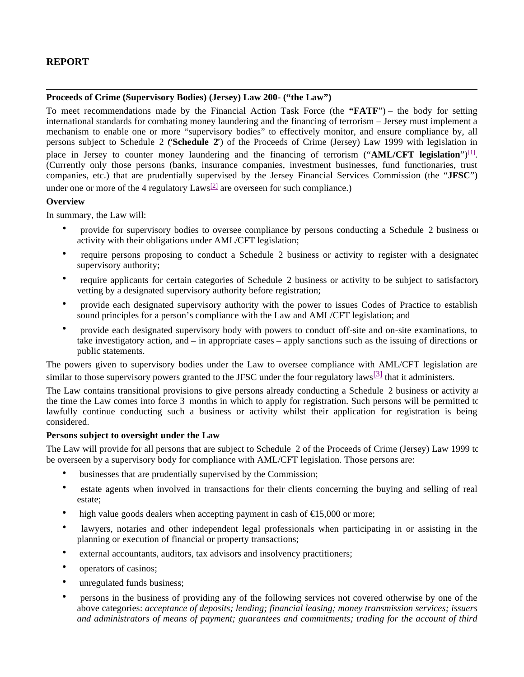# **REPORT**

## **Proceeds of Crime (Supervisory Bodies) (Jersey) Law 200- ("the Law")**

To meet recommendations made by the Financial Action Task Force (the **"FATF**") – the body for setting international standards for combating money laundering and the financing of terrorism – Jersey must implement a mechanism to enable one or more "supervisory bodies" to effectively monitor, and ensure compliance by, all persons subject to Schedule 2 ("**Schedule 2**") of the Proceeds of Crime (Jersey) Law 1999 with legislation in place in Jersey to counter money laundering and the financing of terrorism ("AML/CFT legislation")<sup>[1]</sup>. (Currently only those persons (banks, insurance companies, investment businesses, fund functionaries, trust companies, etc.) that are prudentially supervised by the Jersey Financial Services Commission (the "**JFSC**") under one or more of the 4 regulatory  $Laws^{[2]}$  are overseen for such compliance.)

#### **Overview**

In summary, the Law will:

- provide for supervisory bodies to oversee compliance by persons conducting a Schedule 2 business or activity with their obligations under AML/CFT legislation;
- require persons proposing to conduct a Schedule 2 business or activity to register with a designated supervisory authority;
- require applicants for certain categories of Schedule 2 business or activity to be subject to satisfactory vetting by a designated supervisory authority before registration;
- provide each designated supervisory authority with the power to issues Codes of Practice to establish sound principles for a person's compliance with the Law and AML/CFT legislation; and
- provide each designated supervisory body with powers to conduct off-site and on-site examinations, to take investigatory action, and – in appropriate cases – apply sanctions such as the issuing of directions or public statements.

The powers given to supervisory bodies under the Law to oversee compliance with AML/CFT legislation are similar to those supervisory powers granted to the JFSC under the four regulatory laws<sup>[3]</sup> that it administers.

The Law contains transitional provisions to give persons already conducting a Schedule 2 business or activity at the time the Law comes into force 3 months in which to apply for registration. Such persons will be permitted to lawfully continue conducting such a business or activity whilst their application for registration is being considered.

#### **Persons subject to oversight under the Law**

The Law will provide for all persons that are subject to Schedule 2 of the Proceeds of Crime (Jersey) Law 1999 to be overseen by a supervisory body for compliance with AML/CFT legislation. Those persons are:

- businesses that are prudentially supervised by the Commission;
- estate agents when involved in transactions for their clients concerning the buying and selling of real estate;
- high value goods dealers when accepting payment in cash of  $\epsilon$ 15,000 or more;
- lawyers, notaries and other independent legal professionals when participating in or assisting in the planning or execution of financial or property transactions;
- external accountants, auditors, tax advisors and insolvency practitioners;
- operators of casinos;
- unregulated funds business;
- persons in the business of providing any of the following services not covered otherwise by one of the above categories: *acceptance of deposits; lending; financial leasing; money transmission services; issuers and administrators of means of payment; guarantees and commitments; trading for the account of third*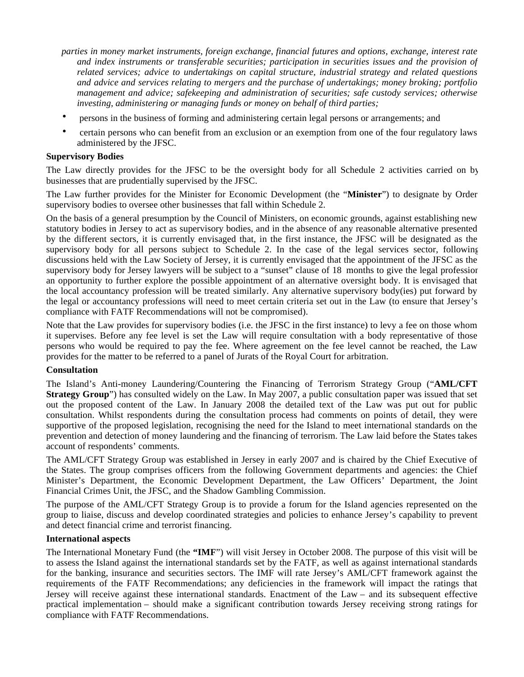- *parties in money market instruments, foreign exchange, financial futures and options, exchange, interest rate and index instruments or transferable securities; participation in securities issues and the provision of related services; advice to undertakings on capital structure, industrial strategy and related questions and advice and services relating to mergers and the purchase of undertakings; money broking; portfolio management and advice; safekeeping and administration of securities; safe custody services; otherwise investing, administering or managing funds or money on behalf of third parties;*
- persons in the business of forming and administering certain legal persons or arrangements; and
- certain persons who can benefit from an exclusion or an exemption from one of the four regulatory laws administered by the JFSC.

# **Supervisory Bodies**

The Law directly provides for the JFSC to be the oversight body for all Schedule 2 activities carried on by businesses that are prudentially supervised by the JFSC.

The Law further provides for the Minister for Economic Development (the "**Minister**") to designate by Order supervisory bodies to oversee other businesses that fall within Schedule 2.

On the basis of a general presumption by the Council of Ministers, on economic grounds, against establishing new statutory bodies in Jersey to act as supervisory bodies, and in the absence of any reasonable alternative presented by the different sectors, it is currently envisaged that, in the first instance, the JFSC will be designated as the supervisory body for all persons subject to Schedule 2. In the case of the legal services sector, following discussions held with the Law Society of Jersey, it is currently envisaged that the appointment of the JFSC as the supervisory body for Jersey lawyers will be subject to a "sunset" clause of 18 months to give the legal profession an opportunity to further explore the possible appointment of an alternative oversight body. It is envisaged that the local accountancy profession will be treated similarly. Any alternative supervisory body(ies) put forward by the legal or accountancy professions will need to meet certain criteria set out in the Law (to ensure that Jersey's compliance with FATF Recommendations will not be compromised).

Note that the Law provides for supervisory bodies (i.e. the JFSC in the first instance) to levy a fee on those whom it supervises. Before any fee level is set the Law will require consultation with a body representative of those persons who would be required to pay the fee. Where agreement on the fee level cannot be reached, the Law provides for the matter to be referred to a panel of Jurats of the Royal Court for arbitration.

#### **Consultation**

The Island's Anti-money Laundering/Countering the Financing of Terrorism Strategy Group ("**AML/CFT Strategy Group**") has consulted widely on the Law. In May 2007, a public consultation paper was issued that set out the proposed content of the Law. In January 2008 the detailed text of the Law was put out for public consultation. Whilst respondents during the consultation process had comments on points of detail, they were supportive of the proposed legislation, recognising the need for the Island to meet international standards on the prevention and detection of money laundering and the financing of terrorism. The Law laid before the States takes account of respondents' comments.

The AML/CFT Strategy Group was established in Jersey in early 2007 and is chaired by the Chief Executive of the States. The group comprises officers from the following Government departments and agencies: the Chief Minister's Department, the Economic Development Department, the Law Officers' Department, the Joint Financial Crimes Unit, the JFSC, and the Shadow Gambling Commission.

The purpose of the AML/CFT Strategy Group is to provide a forum for the Island agencies represented on the group to liaise, discuss and develop coordinated strategies and policies to enhance Jersey's capability to prevent and detect financial crime and terrorist financing.

#### **International aspects**

The International Monetary Fund (the **"IMF**") will visit Jersey in October 2008. The purpose of this visit will be to assess the Island against the international standards set by the FATF, as well as against international standards for the banking, insurance and securities sectors. The IMF will rate Jersey's AML/CFT framework against the requirements of the FATF Recommendations; any deficiencies in the framework will impact the ratings that Jersey will receive against these international standards. Enactment of the Law – and its subsequent effective practical implementation – should make a significant contribution towards Jersey receiving strong ratings for compliance with FATF Recommendations.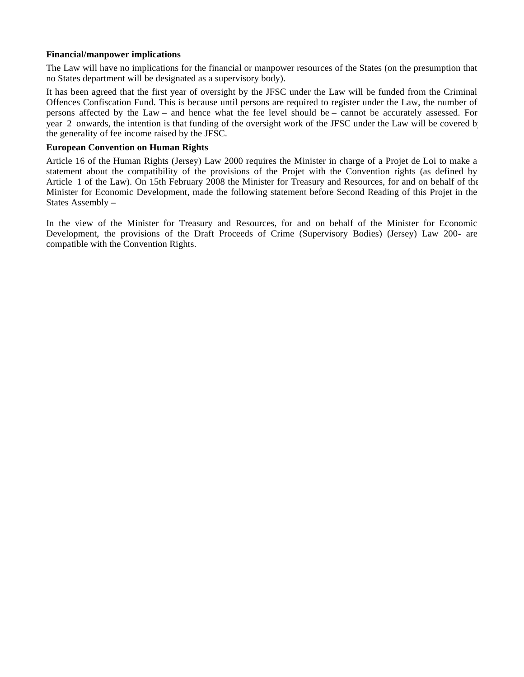## **Financial/manpower implications**

The Law will have no implications for the financial or manpower resources of the States (on the presumption that no States department will be designated as a supervisory body).

It has been agreed that the first year of oversight by the JFSC under the Law will be funded from the Criminal Offences Confiscation Fund. This is because until persons are required to register under the Law, the number of persons affected by the Law – and hence what the fee level should be – cannot be accurately assessed. For year 2 onwards, the intention is that funding of the oversight work of the JFSC under the Law will be covered by the generality of fee income raised by the JFSC.

#### **European Convention on Human Rights**

Article 16 of the Human Rights (Jersey) Law 2000 requires the Minister in charge of a Projet de Loi to make a statement about the compatibility of the provisions of the Projet with the Convention rights (as defined by Article 1 of the Law). On 15th February 2008 the Minister for Treasury and Resources, for and on behalf of the Minister for Economic Development, made the following statement before Second Reading of this Projet in the States Assembly –

In the view of the Minister for Treasury and Resources, for and on behalf of the Minister for Economic Development, the provisions of the Draft Proceeds of Crime (Supervisory Bodies) (Jersey) Law 200- are compatible with the Convention Rights.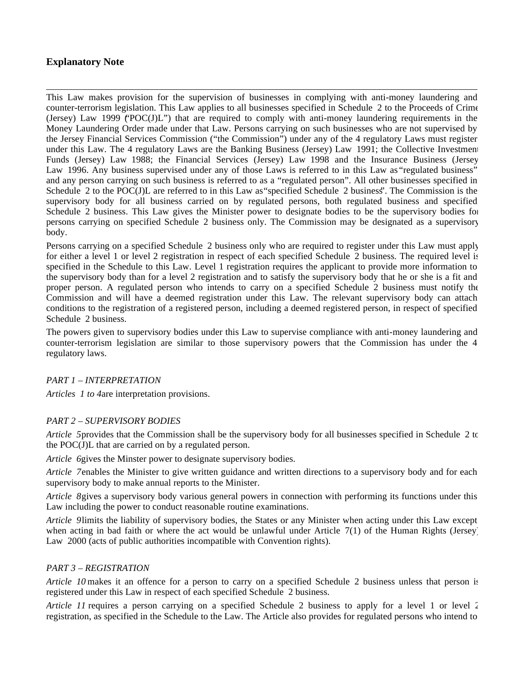# **Explanatory Note**

This Law makes provision for the supervision of businesses in complying with anti-money laundering and counter-terrorism legislation. This Law applies to all businesses specified in Schedule 2 to the Proceeds of Crime (Jersey) Law 1999 ("POC(J)L") that are required to comply with anti-money laundering requirements in the Money Laundering Order made under that Law. Persons carrying on such businesses who are not supervised by the Jersey Financial Services Commission ("the Commission") under any of the 4 regulatory Laws must register under this Law. The 4 regulatory Laws are the Banking Business (Jersey) Law 1991; the Collective Investment Funds (Jersey) Law 1988; the Financial Services (Jersey) Law 1998 and the Insurance Business (Jersey) Law 1996. Any business supervised under any of those Laws is referred to in this Law as "regulated business" and any person carrying on such business is referred to as a "regulated person". All other businesses specified in Schedule 2 to the POC(J)L are referred to in this Law as "specified Schedule 2 business". The Commission is the supervisory body for all business carried on by regulated persons, both regulated business and specified Schedule 2 business. This Law gives the Minister power to designate bodies to be the supervisory bodies for persons carrying on specified Schedule 2 business only. The Commission may be designated as a supervisory body.

Persons carrying on a specified Schedule 2 business only who are required to register under this Law must apply for either a level 1 or level 2 registration in respect of each specified Schedule 2 business. The required level is specified in the Schedule to this Law. Level 1 registration requires the applicant to provide more information to the supervisory body than for a level 2 registration and to satisfy the supervisory body that he or she is a fit and proper person. A regulated person who intends to carry on a specified Schedule 2 business must notify the Commission and will have a deemed registration under this Law. The relevant supervisory body can attach conditions to the registration of a registered person, including a deemed registered person, in respect of specified Schedule 2 business.

The powers given to supervisory bodies under this Law to supervise compliance with anti-money laundering and counter-terrorism legislation are similar to those supervisory powers that the Commission has under the 4 regulatory laws.

# *PART 1 – INTERPRETATION*

*Articles 1 to 4* are interpretation provisions.

# *PART 2 – SUPERVISORY BODIES*

*Article 5* provides that the Commission shall be the supervisory body for all businesses specified in Schedule 2 to the POC(J)L that are carried on by a regulated person.

*Article 6* gives the Minster power to designate supervisory bodies.

*Article 7* enables the Minister to give written guidance and written directions to a supervisory body and for each supervisory body to make annual reports to the Minister.

*Article 8* gives a supervisory body various general powers in connection with performing its functions under this Law including the power to conduct reasonable routine examinations.

*Article 9* limits the liability of supervisory bodies, the States or any Minister when acting under this Law except when acting in bad faith or where the act would be unlawful under Article  $7(1)$  of the Human Rights (Jersey) Law 2000 (acts of public authorities incompatible with Convention rights).

# *PART 3 – REGISTRATION*

*Article 10* makes it an offence for a person to carry on a specified Schedule 2 business unless that person is registered under this Law in respect of each specified Schedule 2 business.

*Article 11* requires a person carrying on a specified Schedule 2 business to apply for a level 1 or level 2 registration, as specified in the Schedule to the Law. The Article also provides for regulated persons who intend to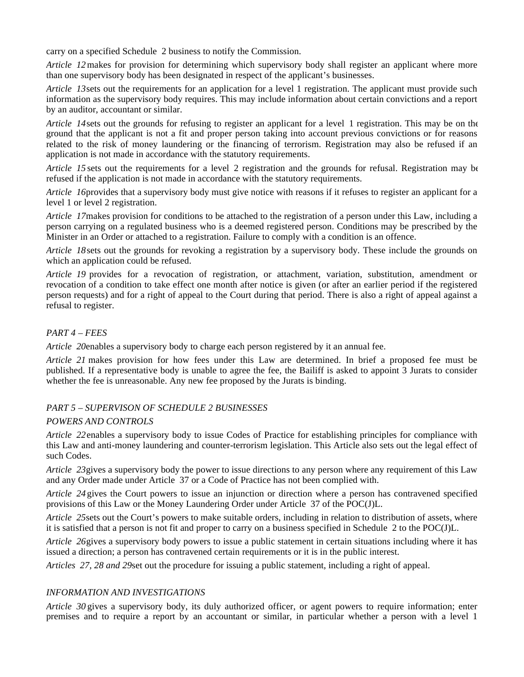carry on a specified Schedule 2 business to notify the Commission.

*Article 12* makes for provision for determining which supervisory body shall register an applicant where more than one supervisory body has been designated in respect of the applicant's businesses.

*Article 13* sets out the requirements for an application for a level 1 registration. The applicant must provide such information as the supervisory body requires. This may include information about certain convictions and a report by an auditor, accountant or similar.

*Article 14* sets out the grounds for refusing to register an applicant for a level 1 registration. This may be on the ground that the applicant is not a fit and proper person taking into account previous convictions or for reasons related to the risk of money laundering or the financing of terrorism. Registration may also be refused if an application is not made in accordance with the statutory requirements.

*Article 15* sets out the requirements for a level 2 registration and the grounds for refusal. Registration may be refused if the application is not made in accordance with the statutory requirements.

*Article 16* provides that a supervisory body must give notice with reasons if it refuses to register an applicant for a level 1 or level 2 registration.

*Article 17* makes provision for conditions to be attached to the registration of a person under this Law, including a person carrying on a regulated business who is a deemed registered person. Conditions may be prescribed by the Minister in an Order or attached to a registration. Failure to comply with a condition is an offence.

*Article 18* sets out the grounds for revoking a registration by a supervisory body. These include the grounds on which an application could be refused.

*Article 19* provides for a revocation of registration, or attachment, variation, substitution, amendment or revocation of a condition to take effect one month after notice is given (or after an earlier period if the registered person requests) and for a right of appeal to the Court during that period. There is also a right of appeal against a refusal to register.

# *PART 4 – FEES*

*Article 20* enables a supervisory body to charge each person registered by it an annual fee.

*Article 21* makes provision for how fees under this Law are determined. In brief a proposed fee must be published. If a representative body is unable to agree the fee, the Bailiff is asked to appoint 3 Jurats to consider whether the fee is unreasonable. Any new fee proposed by the Jurats is binding.

# *PART 5 – SUPERVISON OF SCHEDULE 2 BUSINESSES*

# *POWERS AND CONTROLS*

*Article 22* enables a supervisory body to issue Codes of Practice for establishing principles for compliance with this Law and anti-money laundering and counter-terrorism legislation. This Article also sets out the legal effect of such Codes.

*Article 23* gives a supervisory body the power to issue directions to any person where any requirement of this Law and any Order made under Article 37 or a Code of Practice has not been complied with.

*Article 24* gives the Court powers to issue an injunction or direction where a person has contravened specified provisions of this Law or the Money Laundering Order under Article 37 of the POC(J)L.

*Article 25* sets out the Court's powers to make suitable orders, including in relation to distribution of assets, where it is satisfied that a person is not fit and proper to carry on a business specified in Schedule 2 to the POC(J)L.

*Article 26* gives a supervisory body powers to issue a public statement in certain situations including where it has issued a direction; a person has contravened certain requirements or it is in the public interest.

*Articles 27, 28 and 29set out the procedure for issuing a public statement, including a right of appeal.* 

# *INFORMATION AND INVESTIGATIONS*

*Article 30* gives a supervisory body, its duly authorized officer, or agent powers to require information; enter premises and to require a report by an accountant or similar, in particular whether a person with a level 1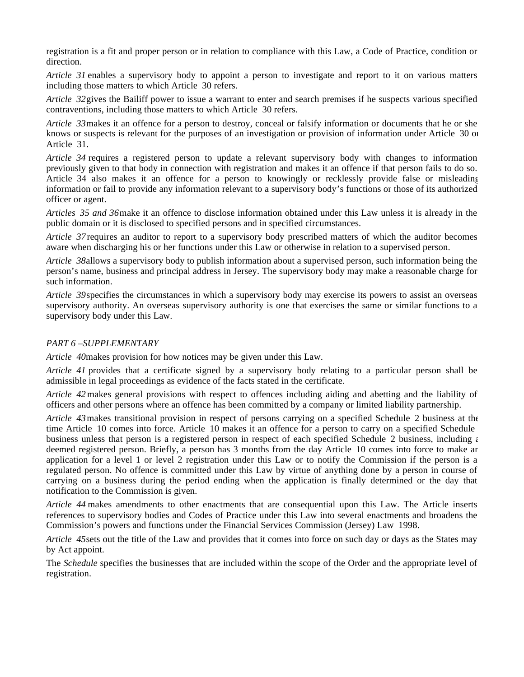registration is a fit and proper person or in relation to compliance with this Law, a Code of Practice, condition or direction.

*Article 31* enables a supervisory body to appoint a person to investigate and report to it on various matters including those matters to which Article 30 refers.

*Article 32* gives the Bailiff power to issue a warrant to enter and search premises if he suspects various specified contraventions, including those matters to which Article 30 refers.

*Article 33* makes it an offence for a person to destroy, conceal or falsify information or documents that he or she knows or suspects is relevant for the purposes of an investigation or provision of information under Article 30 or Article 31.

*Article 34* requires a registered person to update a relevant supervisory body with changes to information previously given to that body in connection with registration and makes it an offence if that person fails to do so. Article 34 also makes it an offence for a person to knowingly or recklessly provide false or misleading information or fail to provide any information relevant to a supervisory body's functions or those of its authorized officer or agent.

*Articles 35 and 36* make it an offence to disclose information obtained under this Law unless it is already in the public domain or it is disclosed to specified persons and in specified circumstances.

*Article 37* requires an auditor to report to a supervisory body prescribed matters of which the auditor becomes aware when discharging his or her functions under this Law or otherwise in relation to a supervised person.

*Article 38* allows a supervisory body to publish information about a supervised person, such information being the person's name, business and principal address in Jersey. The supervisory body may make a reasonable charge for such information.

*Article 39* specifies the circumstances in which a supervisory body may exercise its powers to assist an overseas supervisory authority. An overseas supervisory authority is one that exercises the same or similar functions to a supervisory body under this Law.

#### *PART 6 –SUPPLEMENTARY*

*Article 40* makes provision for how notices may be given under this Law.

*Article 41* provides that a certificate signed by a supervisory body relating to a particular person shall be admissible in legal proceedings as evidence of the facts stated in the certificate.

*Article 42* makes general provisions with respect to offences including aiding and abetting and the liability of officers and other persons where an offence has been committed by a company or limited liability partnership.

*Article 43* makes transitional provision in respect of persons carrying on a specified Schedule 2 business at the time Article 10 comes into force. Article 10 makes it an offence for a person to carry on a specified Schedule 2 business unless that person is a registered person in respect of each specified Schedule 2 business, including a deemed registered person. Briefly, a person has 3 months from the day Article 10 comes into force to make an application for a level 1 or level 2 registration under this Law or to notify the Commission if the person is a regulated person. No offence is committed under this Law by virtue of anything done by a person in course of carrying on a business during the period ending when the application is finally determined or the day that notification to the Commission is given.

*Article 44* makes amendments to other enactments that are consequential upon this Law. The Article inserts references to supervisory bodies and Codes of Practice under this Law into several enactments and broadens the Commission's powers and functions under the Financial Services Commission (Jersey) Law 1998.

*Article 45* sets out the title of the Law and provides that it comes into force on such day or days as the States may by Act appoint.

The *Schedule* specifies the businesses that are included within the scope of the Order and the appropriate level of registration.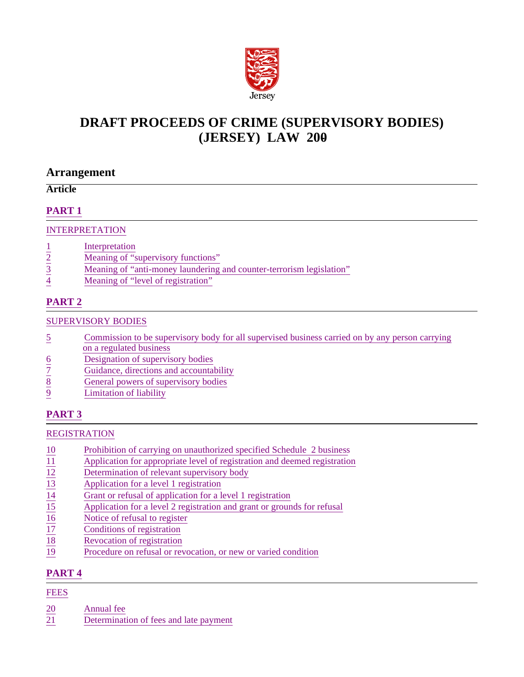

# **DRAFT PROCEEDS OF CRIME (SUPERVISORY BODIES) (JERSEY) LAW 200-**

# **Arrangement**

# **Article**

# **PART 1**

# INTERPRETATION

- 
- $\frac{1}{2}$  Interpretation<br>
<u>Neaning of "s</u><br>
<u>Neaning of "a</u><br>
<u>Meaning of "l</u> Meaning of "supervisory functions"
- Meaning of "anti-money laundering and counter-terrorism legislation"
- Meaning of "level of registration"

# **PART 2**

# SUPERVISORY BODIES

- 5 Commission to be supervisory body for all supervised business carried on by any person carrying on a regulated business
- 
- $\frac{6}{7}$  Designation of supervisory bodies<br>  $\frac{8}{8}$  General powers of supervisory body<br>
Limitation of liability Guidance, directions and accountability
- General powers of supervisory bodies
- Limitation of liability

# **PART 3**

# REGISTRATION

- 10 Prohibition of carrying on unauthorized specified Schedule 2 business<br>11 Application for appropriate level of registration and deemed registration
- Application for appropriate level of registration and deemed registration<br>
<u>12</u> Determination of relevant supervisory body<br>
Application for a level 1 registration<br>
Grant or refusal of application for a level 1 registration
- Determination of relevant supervisory body
- Application for a level 1 registration
- Grant or refusal of application for a level 1 registration
- Application for a level 2 registration and grant or grounds for refusal
- Notice of refusal to register
- Conditions of registration
- Revocation of registration
- 19 Procedure on refusal or revocation, or new or varied condition

# **PART 4**

# FEES

- 20 Annual fee
- 21 Determination of fees and late payment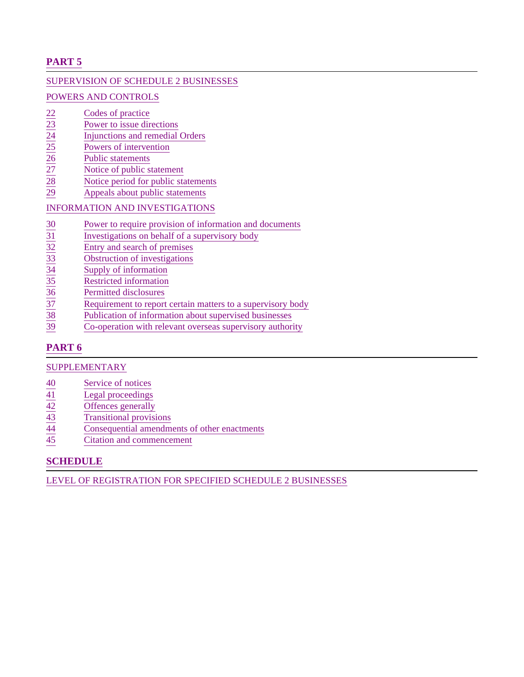# **PART 5**

# SUPERVISION OF SCHEDULE 2 BUSINESSES

# POWERS AND CONTROLS

- 
- $rac{22}{23}$ <br>  $rac{23}{24}$ <br>  $rac{1}{25}$ <br>  $rac{1}{25}$ <br>  $rac{1}{25}$ <br>  $rac{1}{25}$ <br>  $rac{1}{25}$ <br>  $rac{1}{25}$ <br>  $rac{1}{25}$ <br>  $rac{1}{25}$ <br>  $rac{1}{25}$ <br>  $rac{1}{25}$ <br>  $rac{1}{25}$ <br>  $rac{1}{25}$ <br>  $rac{1}{25}$ <br>  $rac{1}{25}$ <br>  $rac{1}{25}$ <br>  $rac{1}{25}$ <br>  $rac{1}{25}$ <br>  $rac{1}{25}$ <br> Power to issue directions
- Injunctions and remedial Orders
- Powers of intervention
- Public statements
- Notice of public statement
- Notice period for public statements
- Appeals about public statements

# INFORMATION AND INVESTIGATIONS

- 
- Investigations on behalf of a supervisory body
- Entry and search of premises
- Obstruction of investigations
- Supply of information
- 35 Restricted information
- Permitted disclosures
- France Solution of information and documents<br>
31 Investigations on behalf of a supervisory body<br>
32 Entry and search of premises<br>
33 Obstruction of investigations<br>
34 Supply of information<br>
35 Restricted information<br>
37 Re Requirement to report certain matters to a supervisory body
- Publication of information about supervised businesses
- Co-operation with relevant overseas supervisory authority

# **PART 6**

# SUPPLEMENTARY

- 
- $\begin{array}{r}\n\hline\n 40 \overline{41} \\
\hline\n 42 \overline{42} \\
\hline\n 43 \overline{44} \\
\hline\n 44 \overline{45}\n\end{array}\n\quad\n\begin{array}{r}\n\hline\n \text{Service of notices} \\
\hline\n \text{Legendre} \\
\hline\n \text{Offences generally} \\
\hline\n \text{Transitional provi:} \\
\hline\n \text{Consequential amod} \\
\hline\n \text{Citation and commutator}\n\end{array}$ Legal proceedings
- Offences generally
- 43 Transitional provisions
- Consequential amendments of other enactments
- Citation and commencement

# **SCHEDULE**

LEVEL OF REGISTRATION FOR SPECIFIED SCHEDULE 2 BUSINESSES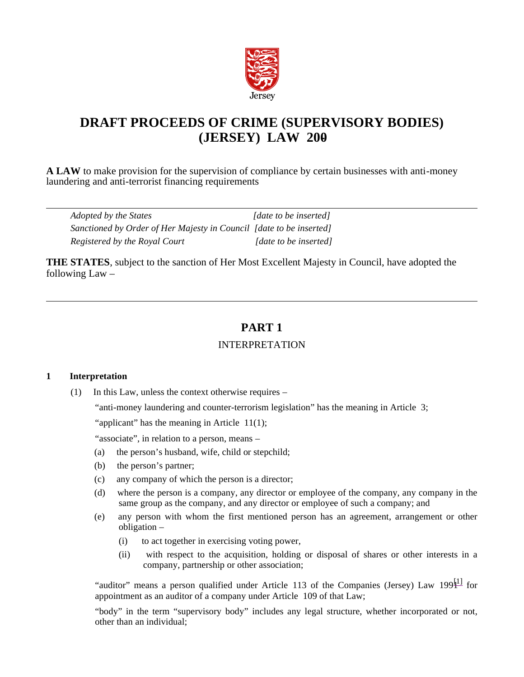

# **DRAFT PROCEEDS OF CRIME (SUPERVISORY BODIES) (JERSEY) LAW 200-**

**A LAW** to make provision for the supervision of compliance by certain businesses with anti-money laundering and anti-terrorist financing requirements

| Adopted by the States                                               | [date to be inserted] |
|---------------------------------------------------------------------|-----------------------|
| Sanctioned by Order of Her Majesty in Council [date to be inserted] |                       |
| Registered by the Royal Court                                       | [date to be inserted] |

**THE STATES**, subject to the sanction of Her Most Excellent Majesty in Council, have adopted the following Law –

# **PART 1**

# INTERPRETATION

# **1 Interpretation**

(1) In this Law, unless the context otherwise requires –

"anti-money laundering and counter-terrorism legislation" has the meaning in Article 3;

"applicant" has the meaning in Article  $11(1)$ ;

"associate", in relation to a person, means –

- (a) the person's husband, wife, child or stepchild;
- (b) the person's partner;
- (c) any company of which the person is a director;
- (d) where the person is a company, any director or employee of the company, any company in the same group as the company, and any director or employee of such a company; and
- (e) any person with whom the first mentioned person has an agreement, arrangement or other obligation –
	- (i) to act together in exercising voting power,
	- (ii) with respect to the acquisition, holding or disposal of shares or other interests in a company, partnership or other association;

"auditor" means a person qualified under Article 113 of the Companies (Jersey) Law  $199\frac{11}{11}$  for appointment as an auditor of a company under Article 109 of that Law;

"body" in the term "supervisory body" includes any legal structure, whether incorporated or not, other than an individual;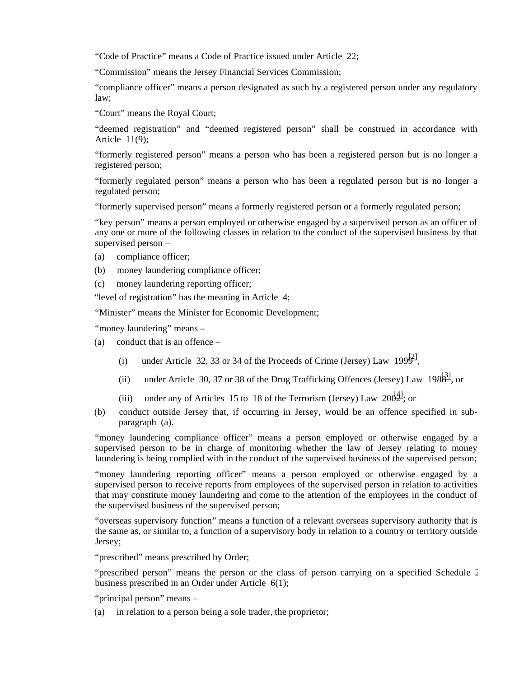"Code of Practice" means a Code of Practice issued under Article 22;

"Commission" means the Jersey Financial Services Commission;

"compliance officer" means a person designated as such by a registered person under any regulatory law;

"Court" means the Royal Court;

"deemed registration" and "deemed registered person" shall be construed in accordance with Article 11(9);

"formerly registered person" means a person who has been a registered person but is no longer a registered person;

"formerly regulated person" means a person who has been a regulated person but is no longer a regulated person;

"formerly supervised person" means a formerly registered person or a formerly regulated person;

"key person" means a person employed or otherwise engaged by a supervised person as an officer of any one or more of the following classes in relation to the conduct of the supervised business by that supervised person –

- (a) compliance officer;
- (b) money laundering compliance officer;
- (c) money laundering reporting officer;

"level of registration" has the meaning in Article 4;

"Minister" means the Minister for Economic Development;

"money laundering" means -

- (a) conduct that is an offence
	- (i) under Article 32, 33 or 34 of the Proceeds of Crime (Jersey) Law 199 $\frac{1}{2}$ ,
	- (ii) under Article 30, 37 or 38 of the Drug Trafficking Offences (Jersey) Law 198 $\frac{3}{3}$ , or
	- (iii) under any of Articles 15 to 18 of the Terrorism (Jersey) Law  $200\frac{1}{2}$ ; or
- (b) conduct outside Jersey that, if occurring in Jersey, would be an offence specified in subparagraph (a).

"money laundering compliance officer" means a person employed or otherwise engaged by a supervised person to be in charge of monitoring whether the law of Jersey relating to money laundering is being complied with in the conduct of the supervised business of the supervised person;

"money laundering reporting officer" means a person employed or otherwise engaged by a supervised person to receive reports from employees of the supervised person in relation to activities that may constitute money laundering and come to the attention of the employees in the conduct of the supervised business of the supervised person;

"overseas supervisory function" means a function of a relevant overseas supervisory authority that is the same as, or similar to, a function of a supervisory body in relation to a country or territory outside Jersey;

"prescribed" means prescribed by Order;

"prescribed person" means the person or the class of person carrying on a specified Schedule 2 business prescribed in an Order under Article 6(1);

"principal person" means –

(a) in relation to a person being a sole trader, the proprietor;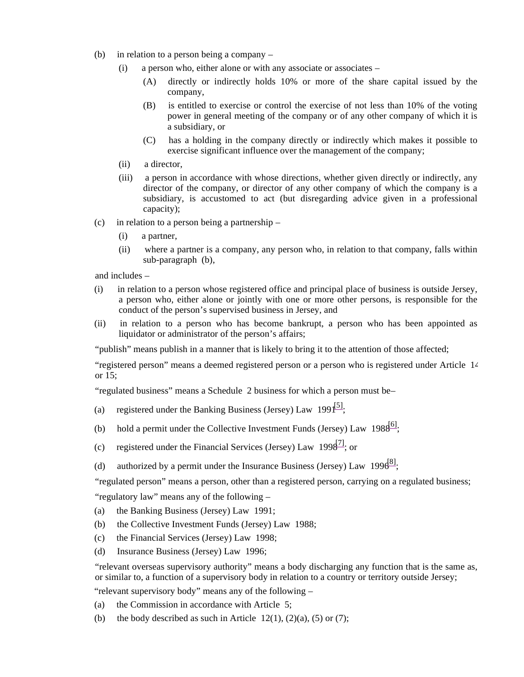- (b) in relation to a person being a company
	- $(i)$  a person who, either alone or with any associate or associates
		- (A) directly or indirectly holds 10% or more of the share capital issued by the company,
		- (B) is entitled to exercise or control the exercise of not less than 10% of the voting power in general meeting of the company or of any other company of which it is a subsidiary, or
		- (C) has a holding in the company directly or indirectly which makes it possible to exercise significant influence over the management of the company;
	- (ii) a director,
	- (iii) a person in accordance with whose directions, whether given directly or indirectly, any director of the company, or director of any other company of which the company is a subsidiary, is accustomed to act (but disregarding advice given in a professional capacity);
- (c) in relation to a person being a partnership
	- (i) a partner,
	- (ii) where a partner is a company, any person who, in relation to that company, falls within sub-paragraph (b),

and includes –

- (i) in relation to a person whose registered office and principal place of business is outside Jersey, a person who, either alone or jointly with one or more other persons, is responsible for the conduct of the person's supervised business in Jersey, and
- (ii) in relation to a person who has become bankrupt, a person who has been appointed as liquidator or administrator of the person's affairs;

"publish" means publish in a manner that is likely to bring it to the attention of those affected;

"registered person" means a deemed registered person or a person who is registered under Article 14 or 15;

"regulated business" means a Schedule 2 business for which a person must be –

- (a) registered under the Banking Business (Jersey) Law  $1991^{[5]}$ ;
- (b) hold a permit under the Collective Investment Funds (Jersey) Law  $198\frac{6}{1}$ ;
- (c) registered under the Financial Services (Jersey) Law  $1998^{7}$ ; or
- (d) authorized by a permit under the Insurance Business (Jersey) Law 199 $6^{81}$ ;

"regulated person" means a person, other than a registered person, carrying on a regulated business;

"regulatory law" means any of the following –

- (a) the Banking Business (Jersey) Law 1991;
- (b) the Collective Investment Funds (Jersey) Law 1988;
- (c) the Financial Services (Jersey) Law 1998;
- (d) Insurance Business (Jersey) Law 1996;

"relevant overseas supervisory authority" means a body discharging any function that is the same as, or similar to, a function of a supervisory body in relation to a country or territory outside Jersey;

"relevant supervisory body" means any of the following –

- (a) the Commission in accordance with Article 5;
- (b) the body described as such in Article  $12(1)$ ,  $(2)(a)$ ,  $(5)$  or  $(7)$ ;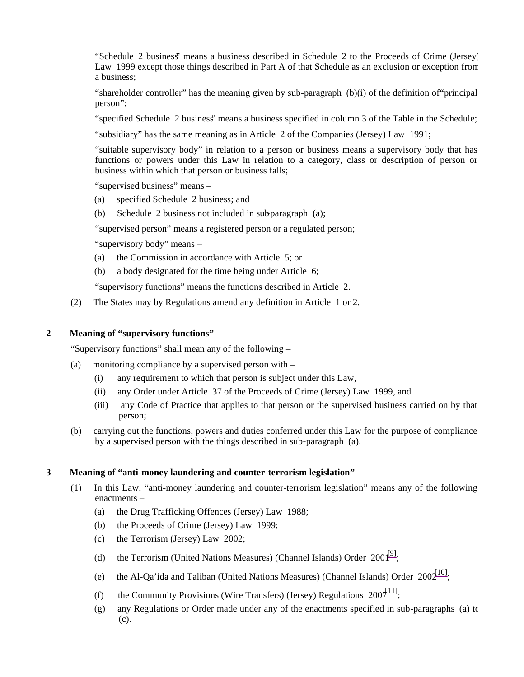"Schedule 2 business" means a business described in Schedule 2 to the Proceeds of Crime (Jersey) Law 1999 except those things described in Part A of that Schedule as an exclusion or exception from a business;

"shareholder controller" has the meaning given by sub-paragraph (b)(i) of the definition of"principal person";

"specified Schedule 2 business" means a business specified in column 3 of the Table in the Schedule;

"subsidiary" has the same meaning as in Article 2 of the Companies (Jersey) Law 1991;

"suitable supervisory body" in relation to a person or business means a supervisory body that has functions or powers under this Law in relation to a category, class or description of person or business within which that person or business falls;

"supervised business" means –

- (a) specified Schedule 2 business; and
- (b) Schedule 2 business not included in sub-paragraph (a);

"supervised person" means a registered person or a regulated person;

"supervisory body" means –

- (a) the Commission in accordance with Article 5; or
- (b) a body designated for the time being under Article 6;

"supervisory functions" means the functions described in Article 2.

(2) The States may by Regulations amend any definition in Article 1 or 2.

#### **2 Meaning of "supervisory functions"**

"Supervisory functions" shall mean any of the following –

- (a) monitoring compliance by a supervised person with
	- (i) any requirement to which that person is subject under this Law,
	- (ii) any Order under Article 37 of the Proceeds of Crime (Jersey) Law 1999, and
	- (iii) any Code of Practice that applies to that person or the supervised business carried on by that person;
- (b) carrying out the functions, powers and duties conferred under this Law for the purpose of compliance by a supervised person with the things described in sub-paragraph (a).

#### **3 Meaning of "anti-money laundering and counter-terrorism legislation"**

- (1) In this Law, "anti-money laundering and counter-terrorism legislation" means any of the following enactments –
	- (a) the Drug Trafficking Offences (Jersey) Law 1988;
	- (b) the Proceeds of Crime (Jersey) Law 1999;
	- (c) the Terrorism (Jersey) Law 2002;
	- (d) the Terrorism (United Nations Measures) (Channel Islands) Order  $2001^{9}$ ;
	- (e) the Al-Qa'ida and Taliban (United Nations Measures) (Channel Islands) Order  $200\frac{10!}{10!}$ ;
	- (f) the Community Provisions (Wire Transfers) (Jersey) Regulations  $200\frac{111}{11}$ ;
	- (g) any Regulations or Order made under any of the enactments specified in sub-paragraphs (a) to (c).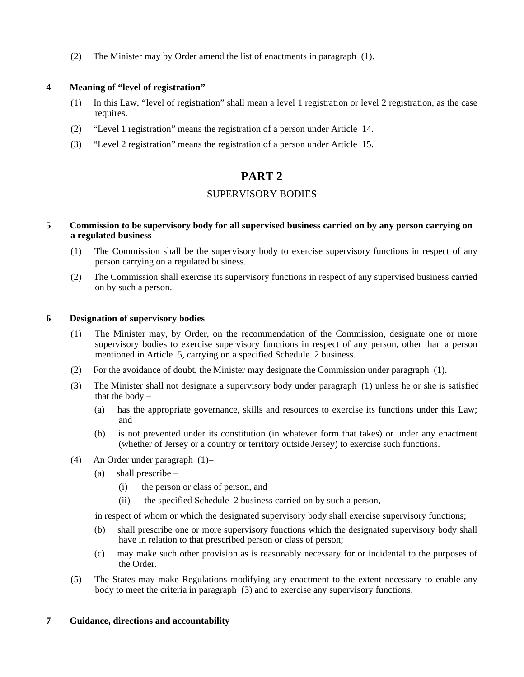(2) The Minister may by Order amend the list of enactments in paragraph (1).

# **4 Meaning of "level of registration"**

- (1) In this Law, "level of registration" shall mean a level 1 registration or level 2 registration, as the case requires.
- (2) "Level 1 registration" means the registration of a person under Article 14.
- (3) "Level 2 registration" means the registration of a person under Article 15.

# **PART 2**

# SUPERVISORY BODIES

## **5 Commission to be supervisory body for all supervised business carried on by any person carrying on a regulated business**

- (1) The Commission shall be the supervisory body to exercise supervisory functions in respect of any person carrying on a regulated business.
- (2) The Commission shall exercise its supervisory functions in respect of any supervised business carried on by such a person.

#### **6 Designation of supervisory bodies**

- (1) The Minister may, by Order, on the recommendation of the Commission, designate one or more supervisory bodies to exercise supervisory functions in respect of any person, other than a person mentioned in Article 5, carrying on a specified Schedule 2 business.
- (2) For the avoidance of doubt, the Minister may designate the Commission under paragraph (1).
- (3) The Minister shall not designate a supervisory body under paragraph (1) unless he or she is satisfied that the body –
	- (a) has the appropriate governance, skills and resources to exercise its functions under this Law; and
	- (b) is not prevented under its constitution (in whatever form that takes) or under any enactment (whether of Jersey or a country or territory outside Jersey) to exercise such functions.
- (4) An Order under paragraph  $(1)$ -
	- (a) shall prescribe
		- (i) the person or class of person, and
		- (ii) the specified Schedule 2 business carried on by such a person,

in respect of whom or which the designated supervisory body shall exercise supervisory functions;

- (b) shall prescribe one or more supervisory functions which the designated supervisory body shall have in relation to that prescribed person or class of person;
- (c) may make such other provision as is reasonably necessary for or incidental to the purposes of the Order.
- (5) The States may make Regulations modifying any enactment to the extent necessary to enable any body to meet the criteria in paragraph (3) and to exercise any supervisory functions.

# **7 Guidance, directions and accountability**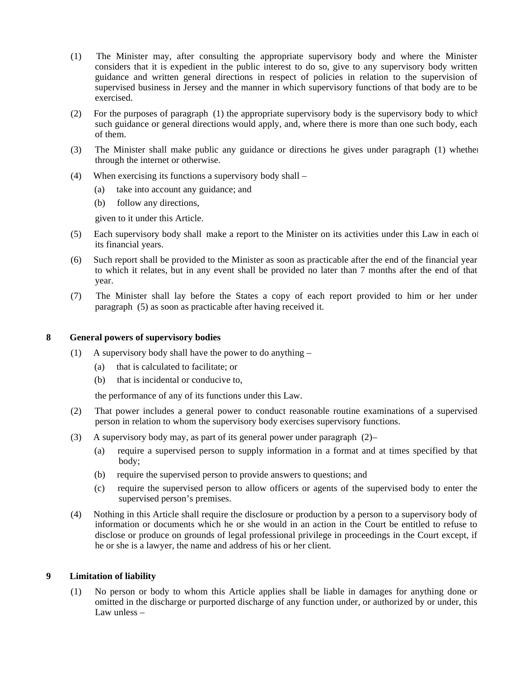- (1) The Minister may, after consulting the appropriate supervisory body and where the Minister considers that it is expedient in the public interest to do so, give to any supervisory body written guidance and written general directions in respect of policies in relation to the supervision of supervised business in Jersey and the manner in which supervisory functions of that body are to be exercised.
- (2) For the purposes of paragraph (1) the appropriate supervisory body is the supervisory body to which such guidance or general directions would apply, and, where there is more than one such body, each of them.
- (3) The Minister shall make public any guidance or directions he gives under paragraph (1) whether through the internet or otherwise.
- (4) When exercising its functions a supervisory body shall
	- (a) take into account any guidance; and
	- (b) follow any directions,

given to it under this Article.

- (5) Each supervisory body shall make a report to the Minister on its activities under this Law in each of its financial years.
- (6) Such report shall be provided to the Minister as soon as practicable after the end of the financial year to which it relates, but in any event shall be provided no later than 7 months after the end of that year.
- (7) The Minister shall lay before the States a copy of each report provided to him or her under paragraph (5) as soon as practicable after having received it.

#### **8 General powers of supervisory bodies**

- (1) A supervisory body shall have the power to do anything
	- (a) that is calculated to facilitate; or
	- (b) that is incidental or conducive to,

the performance of any of its functions under this Law.

- (2) That power includes a general power to conduct reasonable routine examinations of a supervised person in relation to whom the supervisory body exercises supervisory functions.
- (3) A supervisory body may, as part of its general power under paragraph (2)
	- (a) require a supervised person to supply information in a format and at times specified by that body;
	- (b) require the supervised person to provide answers to questions; and
	- (c) require the supervised person to allow officers or agents of the supervised body to enter the supervised person's premises.
- (4) Nothing in this Article shall require the disclosure or production by a person to a supervisory body of information or documents which he or she would in an action in the Court be entitled to refuse to disclose or produce on grounds of legal professional privilege in proceedings in the Court except, if he or she is a lawyer, the name and address of his or her client.

# **9 Limitation of liability**

(1) No person or body to whom this Article applies shall be liable in damages for anything done or omitted in the discharge or purported discharge of any function under, or authorized by or under, this Law unless –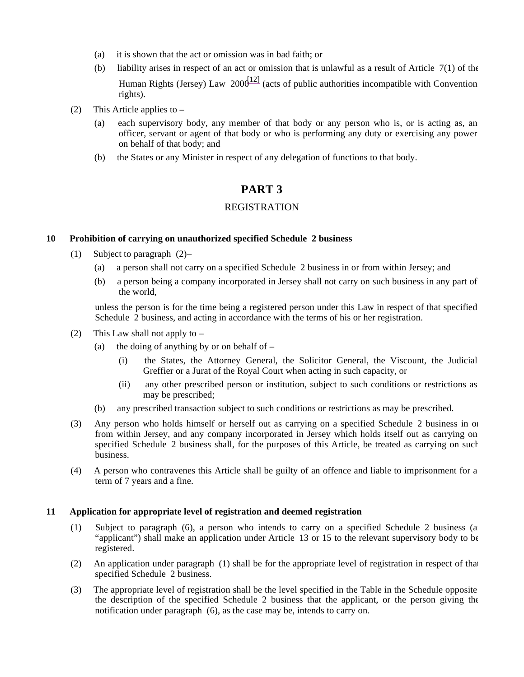- (a) it is shown that the act or omission was in bad faith; or
- (b) liability arises in respect of an act or omission that is unlawful as a result of Article 7(1) of the Human Rights (Jersey) Law  $200\frac{121}{12}$  (acts of public authorities incompatible with Convention rights).
- (2) This Article applies to
	- (a) each supervisory body, any member of that body or any person who is, or is acting as, an officer, servant or agent of that body or who is performing any duty or exercising any power on behalf of that body; and
	- (b) the States or any Minister in respect of any delegation of functions to that body.

# **PART 3**

# REGISTRATION

#### **10 Prohibition of carrying on unauthorized specified Schedule 2 business**

- (1) Subject to paragraph  $(2)$ 
	- (a) a person shall not carry on a specified Schedule 2 business in or from within Jersey; and
	- (b) a person being a company incorporated in Jersey shall not carry on such business in any part of the world,

unless the person is for the time being a registered person under this Law in respect of that specified Schedule 2 business, and acting in accordance with the terms of his or her registration.

- (2) This Law shall not apply to
	- (a) the doing of anything by or on behalf of  $-$ 
		- (i) the States, the Attorney General, the Solicitor General, the Viscount, the Judicial Greffier or a Jurat of the Royal Court when acting in such capacity, or
		- (ii) any other prescribed person or institution, subject to such conditions or restrictions as may be prescribed;
	- (b) any prescribed transaction subject to such conditions or restrictions as may be prescribed.
- (3) Any person who holds himself or herself out as carrying on a specified Schedule 2 business in or from within Jersey, and any company incorporated in Jersey which holds itself out as carrying on specified Schedule 2 business shall, for the purposes of this Article, be treated as carrying on such business.
- (4) A person who contravenes this Article shall be guilty of an offence and liable to imprisonment for a term of 7 years and a fine.

# **11 Application for appropriate level of registration and deemed registration**

- (1) Subject to paragraph (6), a person who intends to carry on a specified Schedule 2 business (an "applicant") shall make an application under Article 13 or 15 to the relevant supervisory body to be registered.
- (2) An application under paragraph (1) shall be for the appropriate level of registration in respect of that specified Schedule 2 business.
- (3) The appropriate level of registration shall be the level specified in the Table in the Schedule opposite the description of the specified Schedule 2 business that the applicant, or the person giving the notification under paragraph (6), as the case may be, intends to carry on.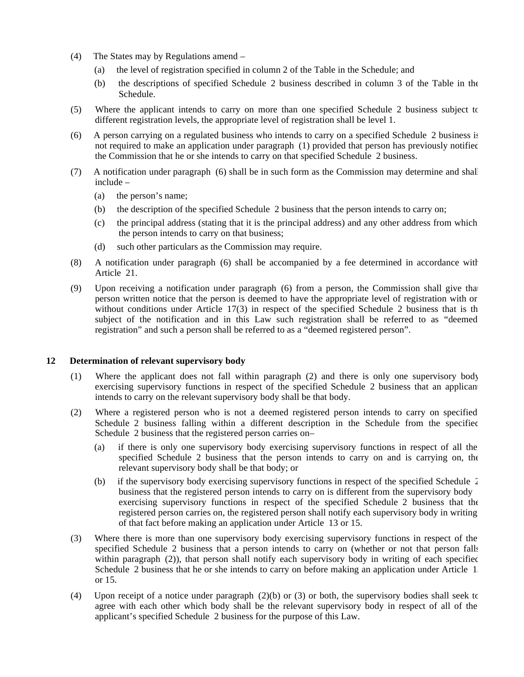- (4) The States may by Regulations amend
	- (a) the level of registration specified in column 2 of the Table in the Schedule; and
	- (b) the descriptions of specified Schedule 2 business described in column 3 of the Table in the Schedule.
- (5) Where the applicant intends to carry on more than one specified Schedule 2 business subject to different registration levels, the appropriate level of registration shall be level 1.
- (6) A person carrying on a regulated business who intends to carry on a specified Schedule 2 business is not required to make an application under paragraph (1) provided that person has previously notified the Commission that he or she intends to carry on that specified Schedule 2 business.
- (7) A notification under paragraph (6) shall be in such form as the Commission may determine and shall include –
	- (a) the person's name;
	- (b) the description of the specified Schedule 2 business that the person intends to carry on;
	- (c) the principal address (stating that it is the principal address) and any other address from which the person intends to carry on that business;
	- (d) such other particulars as the Commission may require.
- (8) A notification under paragraph (6) shall be accompanied by a fee determined in accordance with Article 21.
- (9) Upon receiving a notification under paragraph (6) from a person, the Commission shall give that person written notice that the person is deemed to have the appropriate level of registration with or without conditions under Article  $17(3)$  in respect of the specified Schedule 2 business that is the subject of the notification and in this Law such registration shall be referred to as "deemed registration" and such a person shall be referred to as a "deemed registered person".

#### **12 Determination of relevant supervisory body**

- (1) Where the applicant does not fall within paragraph (2) and there is only one supervisory body exercising supervisory functions in respect of the specified Schedule 2 business that an applicant intends to carry on the relevant supervisory body shall be that body.
- (2) Where a registered person who is not a deemed registered person intends to carry on specified Schedule 2 business falling within a different description in the Schedule from the specified Schedule 2 business that the registered person carries on –
	- (a) if there is only one supervisory body exercising supervisory functions in respect of all the specified Schedule 2 business that the person intends to carry on and is carrying on, the relevant supervisory body shall be that body; or
	- (b) if the supervisory body exercising supervisory functions in respect of the specified Schedule 2 business that the registered person intends to carry on is different from the supervisory body exercising supervisory functions in respect of the specified Schedule 2 business that the registered person carries on, the registered person shall notify each supervisory body in writing of that fact before making an application under Article 13 or 15.
- (3) Where there is more than one supervisory body exercising supervisory functions in respect of the specified Schedule 2 business that a person intends to carry on (whether or not that person falls within paragraph (2)), that person shall notify each supervisory body in writing of each specified Schedule 2 business that he or she intends to carry on before making an application under Article 1 or 15.
- (4) Upon receipt of a notice under paragraph (2)(b) or (3) or both, the supervisory bodies shall seek to agree with each other which body shall be the relevant supervisory body in respect of all of the applicant's specified Schedule 2 business for the purpose of this Law.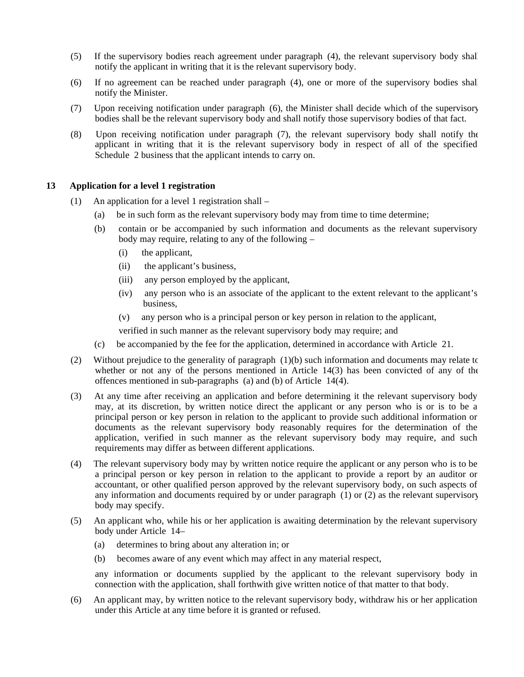- (5) If the supervisory bodies reach agreement under paragraph (4), the relevant supervisory body shall notify the applicant in writing that it is the relevant supervisory body.
- (6) If no agreement can be reached under paragraph (4), one or more of the supervisory bodies shall notify the Minister.
- (7) Upon receiving notification under paragraph (6), the Minister shall decide which of the supervisory bodies shall be the relevant supervisory body and shall notify those supervisory bodies of that fact.
- (8) Upon receiving notification under paragraph (7), the relevant supervisory body shall notify the applicant in writing that it is the relevant supervisory body in respect of all of the specified Schedule 2 business that the applicant intends to carry on.

#### **13 Application for a level 1 registration**

- (1) An application for a level 1 registration shall
	- (a) be in such form as the relevant supervisory body may from time to time determine;
	- (b) contain or be accompanied by such information and documents as the relevant supervisory body may require, relating to any of the following –
		- (i) the applicant,
		- (ii) the applicant's business,
		- (iii) any person employed by the applicant,
		- (iv) any person who is an associate of the applicant to the extent relevant to the applicant's business,
		- (v) any person who is a principal person or key person in relation to the applicant,

verified in such manner as the relevant supervisory body may require; and

- (c) be accompanied by the fee for the application, determined in accordance with Article 21.
- (2) Without prejudice to the generality of paragraph (1)(b) such information and documents may relate to whether or not any of the persons mentioned in Article 14(3) has been convicted of any of the offences mentioned in sub-paragraphs (a) and (b) of Article 14(4).
- (3) At any time after receiving an application and before determining it the relevant supervisory body may, at its discretion, by written notice direct the applicant or any person who is or is to be a principal person or key person in relation to the applicant to provide such additional information or documents as the relevant supervisory body reasonably requires for the determination of the application, verified in such manner as the relevant supervisory body may require, and such requirements may differ as between different applications.
- (4) The relevant supervisory body may by written notice require the applicant or any person who is to be a principal person or key person in relation to the applicant to provide a report by an auditor or accountant, or other qualified person approved by the relevant supervisory body, on such aspects of any information and documents required by or under paragraph (1) or (2) as the relevant supervisory body may specify.
- (5) An applicant who, while his or her application is awaiting determination by the relevant supervisory body under Article 14-
	- (a) determines to bring about any alteration in; or
	- (b) becomes aware of any event which may affect in any material respect,

any information or documents supplied by the applicant to the relevant supervisory body in connection with the application, shall forthwith give written notice of that matter to that body.

(6) An applicant may, by written notice to the relevant supervisory body, withdraw his or her application under this Article at any time before it is granted or refused.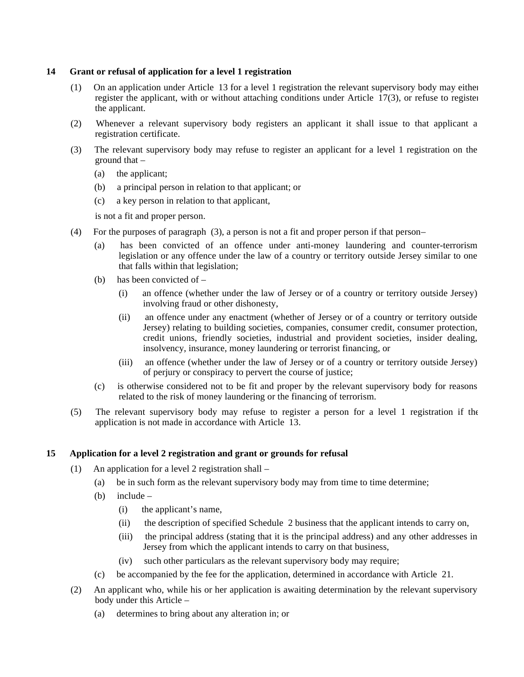## **14 Grant or refusal of application for a level 1 registration**

- (1) On an application under Article 13 for a level 1 registration the relevant supervisory body may either register the applicant, with or without attaching conditions under Article 17(3), or refuse to register the applicant.
- (2) Whenever a relevant supervisory body registers an applicant it shall issue to that applicant a registration certificate.
- (3) The relevant supervisory body may refuse to register an applicant for a level 1 registration on the ground that –
	- (a) the applicant;
	- (b) a principal person in relation to that applicant; or
	- (c) a key person in relation to that applicant,

is not a fit and proper person.

- (4) For the purposes of paragraph (3), a person is not a fit and proper person if that person
	- (a) has been convicted of an offence under anti-money laundering and counter-terrorism legislation or any offence under the law of a country or territory outside Jersey similar to one that falls within that legislation;
	- (b) has been convicted of
		- (i) an offence (whether under the law of Jersey or of a country or territory outside Jersey) involving fraud or other dishonesty,
		- (ii) an offence under any enactment (whether of Jersey or of a country or territory outside Jersey) relating to building societies, companies, consumer credit, consumer protection, credit unions, friendly societies, industrial and provident societies, insider dealing, insolvency, insurance, money laundering or terrorist financing, or
		- (iii) an offence (whether under the law of Jersey or of a country or territory outside Jersey) of perjury or conspiracy to pervert the course of justice;
	- (c) is otherwise considered not to be fit and proper by the relevant supervisory body for reasons related to the risk of money laundering or the financing of terrorism.
- (5) The relevant supervisory body may refuse to register a person for a level 1 registration if the application is not made in accordance with Article 13.

# **15 Application for a level 2 registration and grant or grounds for refusal**

- (1) An application for a level 2 registration shall
	- (a) be in such form as the relevant supervisory body may from time to time determine;
	- (b) include
		- (i) the applicant's name,
		- (ii) the description of specified Schedule 2 business that the applicant intends to carry on,
		- (iii) the principal address (stating that it is the principal address) and any other addresses in Jersey from which the applicant intends to carry on that business,
		- (iv) such other particulars as the relevant supervisory body may require;
	- (c) be accompanied by the fee for the application, determined in accordance with Article 21.
- (2) An applicant who, while his or her application is awaiting determination by the relevant supervisory body under this Article –
	- (a) determines to bring about any alteration in; or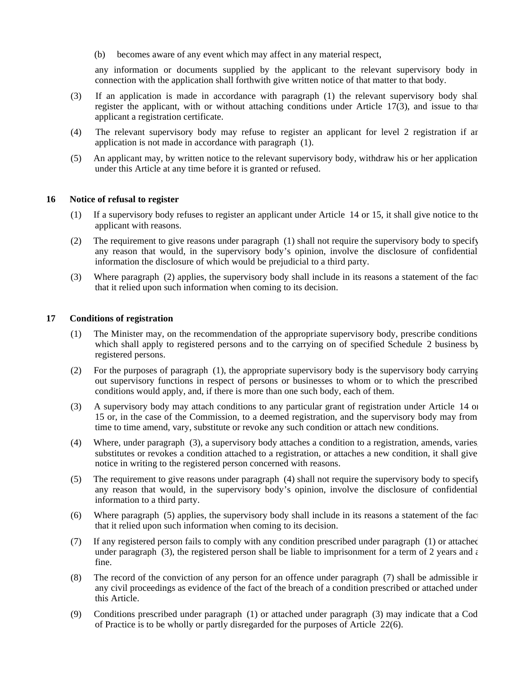(b) becomes aware of any event which may affect in any material respect,

any information or documents supplied by the applicant to the relevant supervisory body in connection with the application shall forthwith give written notice of that matter to that body.

- (3) If an application is made in accordance with paragraph (1) the relevant supervisory body shall register the applicant, with or without attaching conditions under Article 17(3), and issue to that applicant a registration certificate.
- (4) The relevant supervisory body may refuse to register an applicant for level 2 registration if an application is not made in accordance with paragraph (1).
- (5) An applicant may, by written notice to the relevant supervisory body, withdraw his or her application under this Article at any time before it is granted or refused.

#### **16 Notice of refusal to register**

- (1) If a supervisory body refuses to register an applicant under Article 14 or 15, it shall give notice to the applicant with reasons.
- (2) The requirement to give reasons under paragraph (1) shall not require the supervisory body to specify any reason that would, in the supervisory body's opinion, involve the disclosure of confidential information the disclosure of which would be prejudicial to a third party.
- (3) Where paragraph (2) applies, the supervisory body shall include in its reasons a statement of the fact that it relied upon such information when coming to its decision.

#### **17 Conditions of registration**

- (1) The Minister may, on the recommendation of the appropriate supervisory body, prescribe conditions which shall apply to registered persons and to the carrying on of specified Schedule 2 business by registered persons.
- (2) For the purposes of paragraph (1), the appropriate supervisory body is the supervisory body carrying out supervisory functions in respect of persons or businesses to whom or to which the prescribed conditions would apply, and, if there is more than one such body, each of them.
- (3) A supervisory body may attach conditions to any particular grant of registration under Article 14 or 15 or, in the case of the Commission, to a deemed registration, and the supervisory body may from time to time amend, vary, substitute or revoke any such condition or attach new conditions.
- (4) Where, under paragraph (3), a supervisory body attaches a condition to a registration, amends, varies, substitutes or revokes a condition attached to a registration, or attaches a new condition, it shall give notice in writing to the registered person concerned with reasons.
- (5) The requirement to give reasons under paragraph (4) shall not require the supervisory body to specify any reason that would, in the supervisory body's opinion, involve the disclosure of confidential information to a third party.
- (6) Where paragraph (5) applies, the supervisory body shall include in its reasons a statement of the fact that it relied upon such information when coming to its decision.
- (7) If any registered person fails to comply with any condition prescribed under paragraph (1) or attached under paragraph (3), the registered person shall be liable to imprisonment for a term of 2 years and  $\epsilon$ fine.
- (8) The record of the conviction of any person for an offence under paragraph (7) shall be admissible in any civil proceedings as evidence of the fact of the breach of a condition prescribed or attached under this Article.
- (9) Conditions prescribed under paragraph (1) or attached under paragraph (3) may indicate that a Code of Practice is to be wholly or partly disregarded for the purposes of Article 22(6).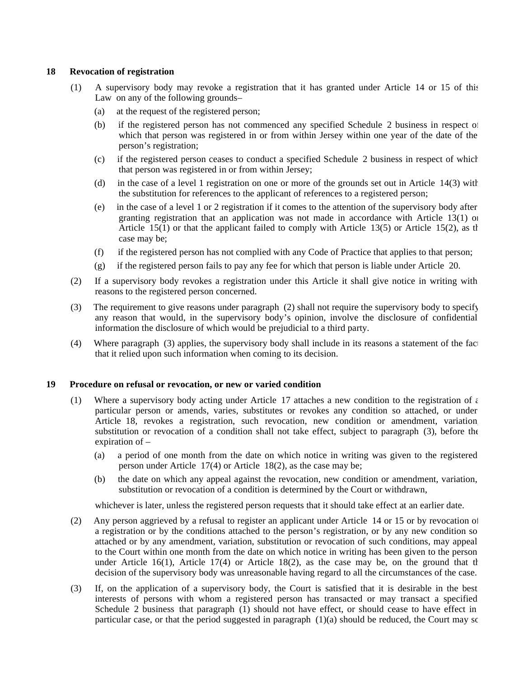#### **18 Revocation of registration**

- (1) A supervisory body may revoke a registration that it has granted under Article 14 or 15 of this Law on any of the following grounds-
	- (a) at the request of the registered person;
	- (b) if the registered person has not commenced any specified Schedule 2 business in respect of which that person was registered in or from within Jersey within one year of the date of the person's registration;
	- (c) if the registered person ceases to conduct a specified Schedule 2 business in respect of which that person was registered in or from within Jersey;
	- (d) in the case of a level 1 registration on one or more of the grounds set out in Article 14(3) with the substitution for references to the applicant of references to a registered person;
	- (e) in the case of a level 1 or 2 registration if it comes to the attention of the supervisory body after granting registration that an application was not made in accordance with Article 13(1) or Article 15(1) or that the applicant failed to comply with Article 13(5) or Article 15(2), as the case may be;
	- (f) if the registered person has not complied with any Code of Practice that applies to that person;
	- (g) if the registered person fails to pay any fee for which that person is liable under Article 20.
- (2) If a supervisory body revokes a registration under this Article it shall give notice in writing with reasons to the registered person concerned.
- (3) The requirement to give reasons under paragraph (2) shall not require the supervisory body to specify any reason that would, in the supervisory body's opinion, involve the disclosure of confidential information the disclosure of which would be prejudicial to a third party.
- (4) Where paragraph (3) applies, the supervisory body shall include in its reasons a statement of the fact that it relied upon such information when coming to its decision.

#### **19 Procedure on refusal or revocation, or new or varied condition**

- (1) Where a supervisory body acting under Article 17 attaches a new condition to the registration of  $\epsilon$ particular person or amends, varies, substitutes or revokes any condition so attached, or under Article 18, revokes a registration, such revocation, new condition or amendment, variation substitution or revocation of a condition shall not take effect, subject to paragraph (3), before the expiration of –
	- (a) a period of one month from the date on which notice in writing was given to the registered person under Article 17(4) or Article 18(2), as the case may be;
	- (b) the date on which any appeal against the revocation, new condition or amendment, variation, substitution or revocation of a condition is determined by the Court or withdrawn,

whichever is later, unless the registered person requests that it should take effect at an earlier date.

- (2) Any person aggrieved by a refusal to register an applicant under Article 14 or 15 or by revocation of a registration or by the conditions attached to the person's registration, or by any new condition so attached or by any amendment, variation, substitution or revocation of such conditions, may appeal to the Court within one month from the date on which notice in writing has been given to the person under Article 16(1), Article 17(4) or Article 18(2), as the case may be, on the ground that the decision of the supervisory body was unreasonable having regard to all the circumstances of the case.
- (3) If, on the application of a supervisory body, the Court is satisfied that it is desirable in the best interests of persons with whom a registered person has transacted or may transact a specified Schedule 2 business that paragraph (1) should not have effect, or should cease to have effect in particular case, or that the period suggested in paragraph  $(1)(a)$  should be reduced, the Court may so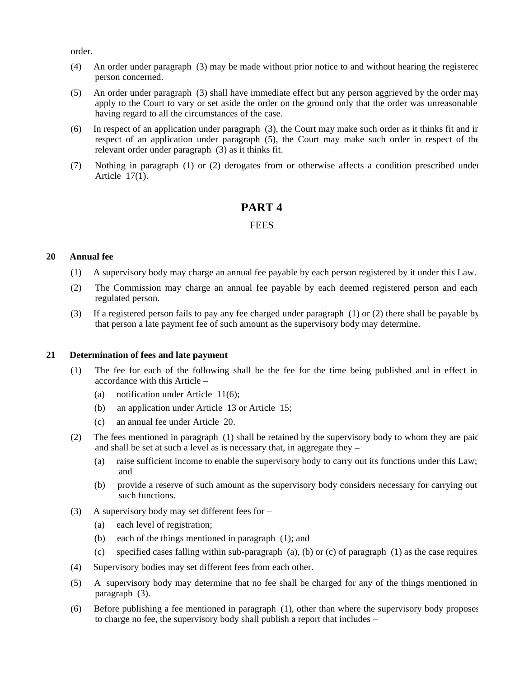order.

- (4) An order under paragraph (3) may be made without prior notice to and without hearing the registered person concerned.
- (5) An order under paragraph (3) shall have immediate effect but any person aggrieved by the order may apply to the Court to vary or set aside the order on the ground only that the order was unreasonable having regard to all the circumstances of the case.
- (6) In respect of an application under paragraph (3), the Court may make such order as it thinks fit and in respect of an application under paragraph (5), the Court may make such order in respect of the relevant order under paragraph (3) as it thinks fit.
- (7) Nothing in paragraph (1) or (2) derogates from or otherwise affects a condition prescribed under Article 17(1).

# **PART 4**

# **FEES**

# **20 Annual fee**

- (1) A supervisory body may charge an annual fee payable by each person registered by it under this Law.
- (2) The Commission may charge an annual fee payable by each deemed registered person and each regulated person.
- (3) If a registered person fails to pay any fee charged under paragraph (1) or (2) there shall be payable by that person a late payment fee of such amount as the supervisory body may determine.

#### **21 Determination of fees and late payment**

- (1) The fee for each of the following shall be the fee for the time being published and in effect in accordance with this Article –
	- (a) notification under Article 11(6);
	- (b) an application under Article 13 or Article 15;
	- (c) an annual fee under Article 20.
- (2) The fees mentioned in paragraph (1) shall be retained by the supervisory body to whom they are paid and shall be set at such a level as is necessary that, in aggregate they –
	- (a) raise sufficient income to enable the supervisory body to carry out its functions under this Law; and
	- (b) provide a reserve of such amount as the supervisory body considers necessary for carrying out such functions.
- (3) A supervisory body may set different fees for
	- (a) each level of registration;
	- (b) each of the things mentioned in paragraph (1); and
	- (c) specified cases falling within sub-paragraph  $(a)$ , (b) or (c) of paragraph (1) as the case requires.
- (4) Supervisory bodies may set different fees from each other.
- (5) A supervisory body may determine that no fee shall be charged for any of the things mentioned in paragraph (3).
- (6) Before publishing a fee mentioned in paragraph (1), other than where the supervisory body proposes to charge no fee, the supervisory body shall publish a report that includes –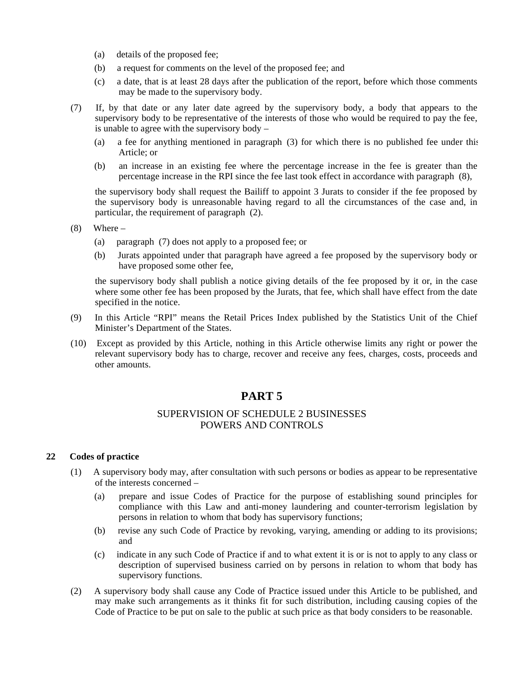- (a) details of the proposed fee;
- (b) a request for comments on the level of the proposed fee; and
- (c) a date, that is at least 28 days after the publication of the report, before which those comments may be made to the supervisory body.
- (7) If, by that date or any later date agreed by the supervisory body, a body that appears to the supervisory body to be representative of the interests of those who would be required to pay the fee, is unable to agree with the supervisory body –
	- (a) a fee for anything mentioned in paragraph (3) for which there is no published fee under this Article; or
	- (b) an increase in an existing fee where the percentage increase in the fee is greater than the percentage increase in the RPI since the fee last took effect in accordance with paragraph (8),

the supervisory body shall request the Bailiff to appoint 3 Jurats to consider if the fee proposed by the supervisory body is unreasonable having regard to all the circumstances of the case and, in particular, the requirement of paragraph (2).

- $(8)$  Where
	- (a) paragraph (7) does not apply to a proposed fee; or
	- (b) Jurats appointed under that paragraph have agreed a fee proposed by the supervisory body or have proposed some other fee,

the supervisory body shall publish a notice giving details of the fee proposed by it or, in the case where some other fee has been proposed by the Jurats, that fee, which shall have effect from the date specified in the notice.

- (9) In this Article "RPI" means the Retail Prices Index published by the Statistics Unit of the Chief Minister's Department of the States.
- (10) Except as provided by this Article, nothing in this Article otherwise limits any right or power the relevant supervisory body has to charge, recover and receive any fees, charges, costs, proceeds and other amounts.

# **PART 5**

# SUPERVISION OF SCHEDULE 2 BUSINESSES POWERS AND CONTROLS

# **22 Codes of practice**

- (1) A supervisory body may, after consultation with such persons or bodies as appear to be representative of the interests concerned –
	- (a) prepare and issue Codes of Practice for the purpose of establishing sound principles for compliance with this Law and anti-money laundering and counter-terrorism legislation by persons in relation to whom that body has supervisory functions;
	- (b) revise any such Code of Practice by revoking, varying, amending or adding to its provisions; and
	- (c) indicate in any such Code of Practice if and to what extent it is or is not to apply to any class or description of supervised business carried on by persons in relation to whom that body has supervisory functions.
- (2) A supervisory body shall cause any Code of Practice issued under this Article to be published, and may make such arrangements as it thinks fit for such distribution, including causing copies of the Code of Practice to be put on sale to the public at such price as that body considers to be reasonable.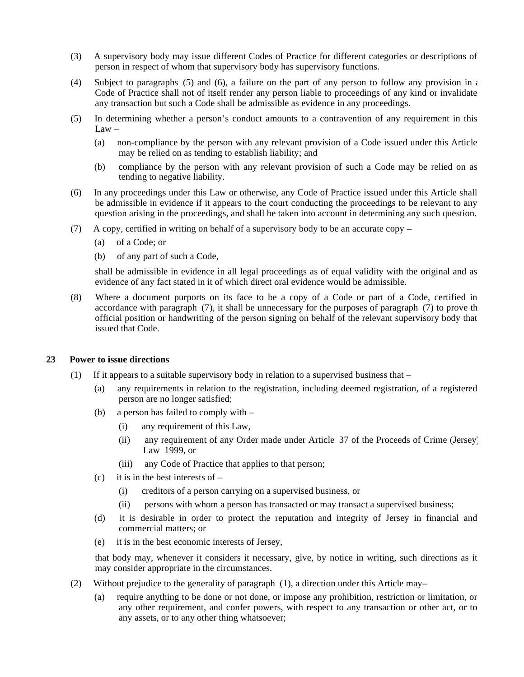- (3) A supervisory body may issue different Codes of Practice for different categories or descriptions of person in respect of whom that supervisory body has supervisory functions.
- (4) Subject to paragraphs (5) and (6), a failure on the part of any person to follow any provision in  $\epsilon$ Code of Practice shall not of itself render any person liable to proceedings of any kind or invalidate any transaction but such a Code shall be admissible as evidence in any proceedings.
- (5) In determining whether a person's conduct amounts to a contravention of any requirement in this  $Law -$ 
	- (a) non-compliance by the person with any relevant provision of a Code issued under this Article may be relied on as tending to establish liability; and
	- (b) compliance by the person with any relevant provision of such a Code may be relied on as tending to negative liability.
- (6) In any proceedings under this Law or otherwise, any Code of Practice issued under this Article shall be admissible in evidence if it appears to the court conducting the proceedings to be relevant to any question arising in the proceedings, and shall be taken into account in determining any such question.
- (7) A copy, certified in writing on behalf of a supervisory body to be an accurate copy
	- (a) of a Code; or
	- (b) of any part of such a Code,

shall be admissible in evidence in all legal proceedings as of equal validity with the original and as evidence of any fact stated in it of which direct oral evidence would be admissible.

(8) Where a document purports on its face to be a copy of a Code or part of a Code, certified in accordance with paragraph (7), it shall be unnecessary for the purposes of paragraph (7) to prove th official position or handwriting of the person signing on behalf of the relevant supervisory body that issued that Code.

#### **23 Power to issue directions**

- (1) If it appears to a suitable supervisory body in relation to a supervised business that  $-$ 
	- (a) any requirements in relation to the registration, including deemed registration, of a registered person are no longer satisfied;
	- (b) a person has failed to comply with
		- (i) any requirement of this Law,
		- (ii) any requirement of any Order made under Article 37 of the Proceeds of Crime (Jersey) Law 1999, or
		- (iii) any Code of Practice that applies to that person;
	- (c) it is in the best interests of  $-$ 
		- (i) creditors of a person carrying on a supervised business, or
		- (ii) persons with whom a person has transacted or may transact a supervised business;
	- (d) it is desirable in order to protect the reputation and integrity of Jersey in financial and commercial matters; or
	- (e) it is in the best economic interests of Jersey,

that body may, whenever it considers it necessary, give, by notice in writing, such directions as it may consider appropriate in the circumstances.

- (2) Without prejudice to the generality of paragraph (1), a direction under this Article may
	- (a) require anything to be done or not done, or impose any prohibition, restriction or limitation, or any other requirement, and confer powers, with respect to any transaction or other act, or to any assets, or to any other thing whatsoever;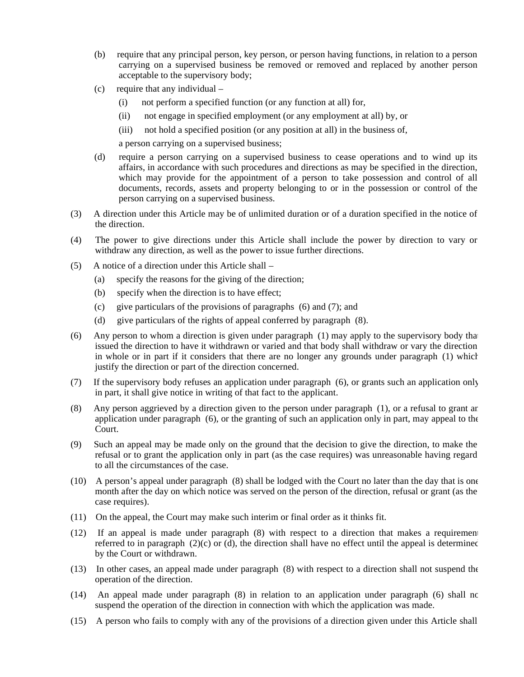- (b) require that any principal person, key person, or person having functions, in relation to a person carrying on a supervised business be removed or removed and replaced by another person acceptable to the supervisory body;
- (c) require that any individual
	- (i) not perform a specified function (or any function at all) for,
	- (ii) not engage in specified employment (or any employment at all) by, or
	- (iii) not hold a specified position (or any position at all) in the business of,

a person carrying on a supervised business;

- (d) require a person carrying on a supervised business to cease operations and to wind up its affairs, in accordance with such procedures and directions as may be specified in the direction, which may provide for the appointment of a person to take possession and control of all documents, records, assets and property belonging to or in the possession or control of the person carrying on a supervised business.
- (3) A direction under this Article may be of unlimited duration or of a duration specified in the notice of the direction.
- (4) The power to give directions under this Article shall include the power by direction to vary or withdraw any direction, as well as the power to issue further directions.
- (5) A notice of a direction under this Article shall
	- (a) specify the reasons for the giving of the direction;
	- (b) specify when the direction is to have effect;
	- (c) give particulars of the provisions of paragraphs (6) and (7); and
	- (d) give particulars of the rights of appeal conferred by paragraph (8).
- (6) Any person to whom a direction is given under paragraph  $(1)$  may apply to the supervisory body that issued the direction to have it withdrawn or varied and that body shall withdraw or vary the direction in whole or in part if it considers that there are no longer any grounds under paragraph (1) which justify the direction or part of the direction concerned.
- (7) If the supervisory body refuses an application under paragraph (6), or grants such an application only in part, it shall give notice in writing of that fact to the applicant.
- (8) Any person aggrieved by a direction given to the person under paragraph (1), or a refusal to grant an application under paragraph (6), or the granting of such an application only in part, may appeal to the Court.
- (9) Such an appeal may be made only on the ground that the decision to give the direction, to make the refusal or to grant the application only in part (as the case requires) was unreasonable having regard to all the circumstances of the case.
- (10) A person's appeal under paragraph (8) shall be lodged with the Court no later than the day that is one month after the day on which notice was served on the person of the direction, refusal or grant (as the case requires).
- (11) On the appeal, the Court may make such interim or final order as it thinks fit.
- (12) If an appeal is made under paragraph (8) with respect to a direction that makes a requirement referred to in paragraph  $(2)(c)$  or (d), the direction shall have no effect until the appeal is determined by the Court or withdrawn.
- (13) In other cases, an appeal made under paragraph (8) with respect to a direction shall not suspend the operation of the direction.
- (14) An appeal made under paragraph (8) in relation to an application under paragraph (6) shall no suspend the operation of the direction in connection with which the application was made.
- (15) A person who fails to comply with any of the provisions of a direction given under this Article shall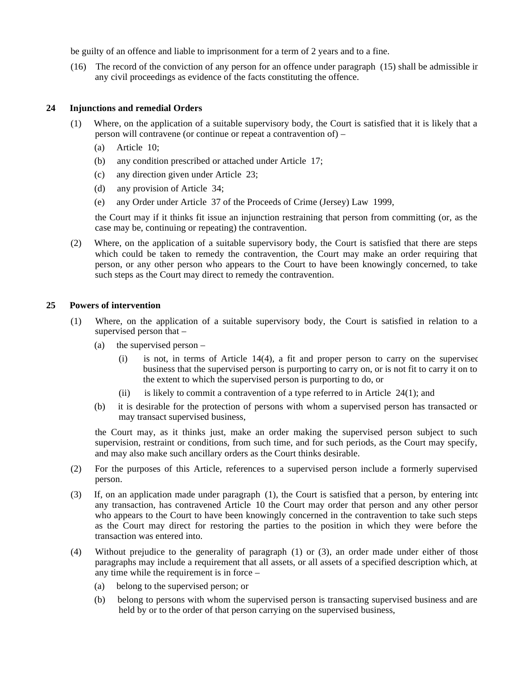be guilty of an offence and liable to imprisonment for a term of 2 years and to a fine.

(16) The record of the conviction of any person for an offence under paragraph (15) shall be admissible in any civil proceedings as evidence of the facts constituting the offence.

#### **24 Injunctions and remedial Orders**

- (1) Where, on the application of a suitable supervisory body, the Court is satisfied that it is likely that a person will contravene (or continue or repeat a contravention of) –
	- (a) Article 10;
	- (b) any condition prescribed or attached under Article 17;
	- (c) any direction given under Article 23;
	- (d) any provision of Article 34;
	- (e) any Order under Article 37 of the Proceeds of Crime (Jersey) Law 1999,

the Court may if it thinks fit issue an injunction restraining that person from committing (or, as the case may be, continuing or repeating) the contravention.

(2) Where, on the application of a suitable supervisory body, the Court is satisfied that there are steps which could be taken to remedy the contravention, the Court may make an order requiring that person, or any other person who appears to the Court to have been knowingly concerned, to take such steps as the Court may direct to remedy the contravention.

## **25 Powers of intervention**

- (1) Where, on the application of a suitable supervisory body, the Court is satisfied in relation to a supervised person that –
	- (a) the supervised person
		- $(i)$  is not, in terms of Article 14(4), a fit and proper person to carry on the supervised business that the supervised person is purporting to carry on, or is not fit to carry it on to the extent to which the supervised person is purporting to do, or
		- (ii) is likely to commit a contravention of a type referred to in Article  $24(1)$ ; and
	- (b) it is desirable for the protection of persons with whom a supervised person has transacted or may transact supervised business,

the Court may, as it thinks just, make an order making the supervised person subject to such supervision, restraint or conditions, from such time, and for such periods, as the Court may specify, and may also make such ancillary orders as the Court thinks desirable.

- (2) For the purposes of this Article, references to a supervised person include a formerly supervised person.
- (3) If, on an application made under paragraph (1), the Court is satisfied that a person, by entering into any transaction, has contravened Article 10 the Court may order that person and any other person who appears to the Court to have been knowingly concerned in the contravention to take such steps as the Court may direct for restoring the parties to the position in which they were before the transaction was entered into.
- (4) Without prejudice to the generality of paragraph (1) or (3), an order made under either of those paragraphs may include a requirement that all assets, or all assets of a specified description which, at any time while the requirement is in force –
	- (a) belong to the supervised person; or
	- (b) belong to persons with whom the supervised person is transacting supervised business and are held by or to the order of that person carrying on the supervised business,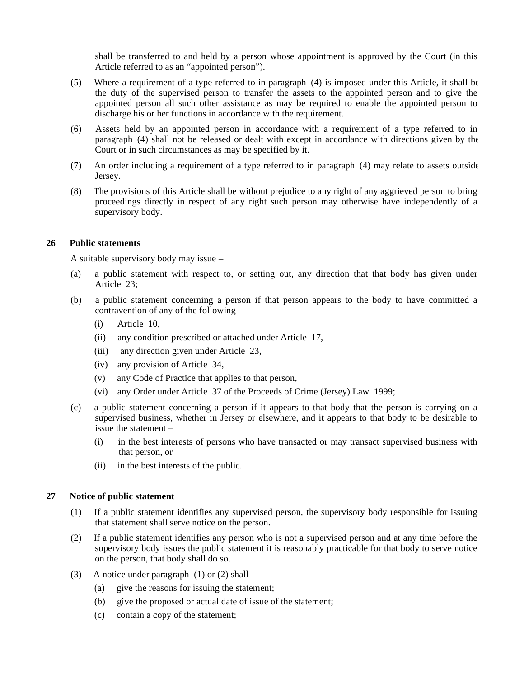shall be transferred to and held by a person whose appointment is approved by the Court (in this Article referred to as an "appointed person").

- (5) Where a requirement of a type referred to in paragraph (4) is imposed under this Article, it shall be the duty of the supervised person to transfer the assets to the appointed person and to give the appointed person all such other assistance as may be required to enable the appointed person to discharge his or her functions in accordance with the requirement.
- (6) Assets held by an appointed person in accordance with a requirement of a type referred to in paragraph (4) shall not be released or dealt with except in accordance with directions given by the Court or in such circumstances as may be specified by it.
- (7) An order including a requirement of a type referred to in paragraph (4) may relate to assets outside Jersey.
- (8) The provisions of this Article shall be without prejudice to any right of any aggrieved person to bring proceedings directly in respect of any right such person may otherwise have independently of a supervisory body.

#### **26 Public statements**

A suitable supervisory body may issue –

- (a) a public statement with respect to, or setting out, any direction that that body has given under Article 23;
- (b) a public statement concerning a person if that person appears to the body to have committed a contravention of any of the following –
	- (i) Article 10,
	- (ii) any condition prescribed or attached under Article 17,
	- (iii) any direction given under Article 23,
	- (iv) any provision of Article 34,
	- (v) any Code of Practice that applies to that person,
	- (vi) any Order under Article 37 of the Proceeds of Crime (Jersey) Law 1999;
- (c) a public statement concerning a person if it appears to that body that the person is carrying on a supervised business, whether in Jersey or elsewhere, and it appears to that body to be desirable to issue the statement –
	- (i) in the best interests of persons who have transacted or may transact supervised business with that person, or
	- (ii) in the best interests of the public.

# **27 Notice of public statement**

- (1) If a public statement identifies any supervised person, the supervisory body responsible for issuing that statement shall serve notice on the person.
- (2) If a public statement identifies any person who is not a supervised person and at any time before the supervisory body issues the public statement it is reasonably practicable for that body to serve notice on the person, that body shall do so.
- (3) A notice under paragraph  $(1)$  or  $(2)$  shall-
	- (a) give the reasons for issuing the statement;
	- (b) give the proposed or actual date of issue of the statement;
	- (c) contain a copy of the statement;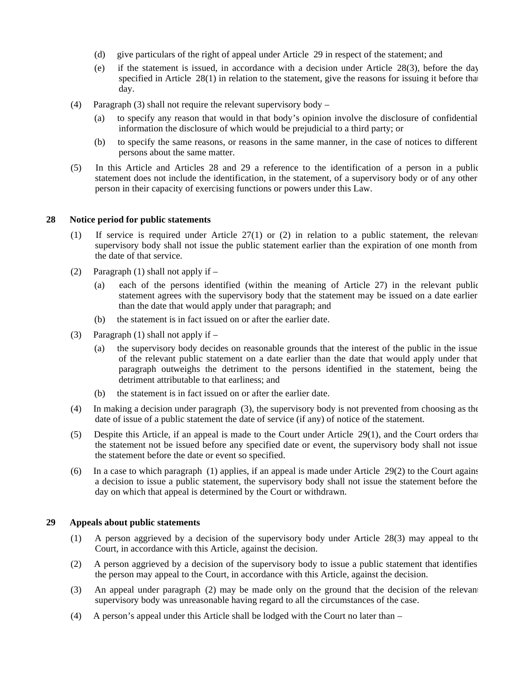- (d) give particulars of the right of appeal under Article 29 in respect of the statement; and
- (e) if the statement is issued, in accordance with a decision under Article 28(3), before the day specified in Article  $28(1)$  in relation to the statement, give the reasons for issuing it before that day.
- (4) Paragraph (3) shall not require the relevant supervisory body
	- (a) to specify any reason that would in that body's opinion involve the disclosure of confidential information the disclosure of which would be prejudicial to a third party; or
	- (b) to specify the same reasons, or reasons in the same manner, in the case of notices to different persons about the same matter.
- (5) In this Article and Articles 28 and 29 a reference to the identification of a person in a public statement does not include the identification, in the statement, of a supervisory body or of any other person in their capacity of exercising functions or powers under this Law.

## **28 Notice period for public statements**

- (1) If service is required under Article 27(1) or (2) in relation to a public statement, the relevant supervisory body shall not issue the public statement earlier than the expiration of one month from the date of that service.
- (2) Paragraph (1) shall not apply if
	- (a) each of the persons identified (within the meaning of Article 27) in the relevant public statement agrees with the supervisory body that the statement may be issued on a date earlier than the date that would apply under that paragraph; and
	- (b) the statement is in fact issued on or after the earlier date.
- (3) Paragraph (1) shall not apply if  $-$ 
	- (a) the supervisory body decides on reasonable grounds that the interest of the public in the issue of the relevant public statement on a date earlier than the date that would apply under that paragraph outweighs the detriment to the persons identified in the statement, being the detriment attributable to that earliness; and
	- (b) the statement is in fact issued on or after the earlier date.
- (4) In making a decision under paragraph (3), the supervisory body is not prevented from choosing as the date of issue of a public statement the date of service (if any) of notice of the statement.
- (5) Despite this Article, if an appeal is made to the Court under Article 29(1), and the Court orders that the statement not be issued before any specified date or event, the supervisory body shall not issue the statement before the date or event so specified.
- (6) In a case to which paragraph  $(1)$  applies, if an appeal is made under Article 29(2) to the Court against a decision to issue a public statement, the supervisory body shall not issue the statement before the day on which that appeal is determined by the Court or withdrawn.

#### **29 Appeals about public statements**

- (1) A person aggrieved by a decision of the supervisory body under Article 28(3) may appeal to the Court, in accordance with this Article, against the decision.
- (2) A person aggrieved by a decision of the supervisory body to issue a public statement that identifies the person may appeal to the Court, in accordance with this Article, against the decision.
- (3) An appeal under paragraph (2) may be made only on the ground that the decision of the relevant supervisory body was unreasonable having regard to all the circumstances of the case.
- (4) A person's appeal under this Article shall be lodged with the Court no later than –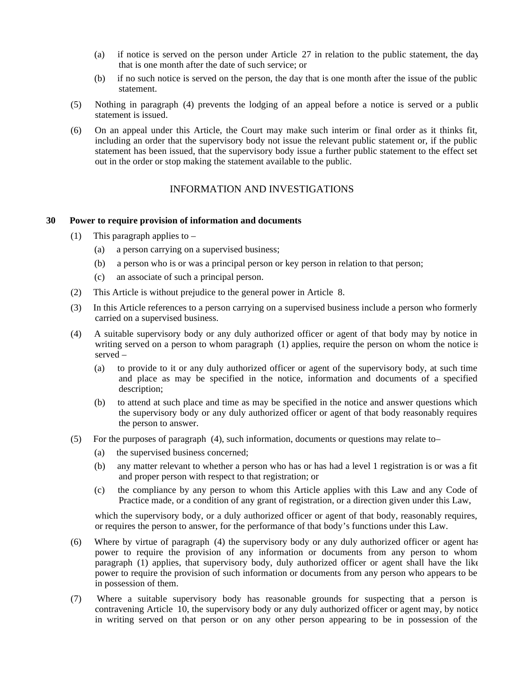- (a) if notice is served on the person under Article 27 in relation to the public statement, the day that is one month after the date of such service; or
- (b) if no such notice is served on the person, the day that is one month after the issue of the public statement.
- (5) Nothing in paragraph (4) prevents the lodging of an appeal before a notice is served or a public statement is issued.
- (6) On an appeal under this Article, the Court may make such interim or final order as it thinks fit, including an order that the supervisory body not issue the relevant public statement or, if the public statement has been issued, that the supervisory body issue a further public statement to the effect set out in the order or stop making the statement available to the public.

# INFORMATION AND INVESTIGATIONS

#### **30 Power to require provision of information and documents**

- (1) This paragraph applies to  $-$ 
	- (a) a person carrying on a supervised business;
	- (b) a person who is or was a principal person or key person in relation to that person;
	- (c) an associate of such a principal person.
- (2) This Article is without prejudice to the general power in Article 8.
- (3) In this Article references to a person carrying on a supervised business include a person who formerly carried on a supervised business.
- (4) A suitable supervisory body or any duly authorized officer or agent of that body may by notice in writing served on a person to whom paragraph (1) applies, require the person on whom the notice is served –
	- (a) to provide to it or any duly authorized officer or agent of the supervisory body, at such time and place as may be specified in the notice, information and documents of a specified description;
	- (b) to attend at such place and time as may be specified in the notice and answer questions which the supervisory body or any duly authorized officer or agent of that body reasonably requires the person to answer.
- (5) For the purposes of paragraph (4), such information, documents or questions may relate to
	- (a) the supervised business concerned;
	- (b) any matter relevant to whether a person who has or has had a level 1 registration is or was a fit and proper person with respect to that registration; or
	- (c) the compliance by any person to whom this Article applies with this Law and any Code of Practice made, or a condition of any grant of registration, or a direction given under this Law,

which the supervisory body, or a duly authorized officer or agent of that body, reasonably requires, or requires the person to answer, for the performance of that body's functions under this Law.

- (6) Where by virtue of paragraph (4) the supervisory body or any duly authorized officer or agent has power to require the provision of any information or documents from any person to whom paragraph (1) applies, that supervisory body, duly authorized officer or agent shall have the like power to require the provision of such information or documents from any person who appears to be in possession of them.
- (7) Where a suitable supervisory body has reasonable grounds for suspecting that a person is contravening Article 10, the supervisory body or any duly authorized officer or agent may, by notice in writing served on that person or on any other person appearing to be in possession of the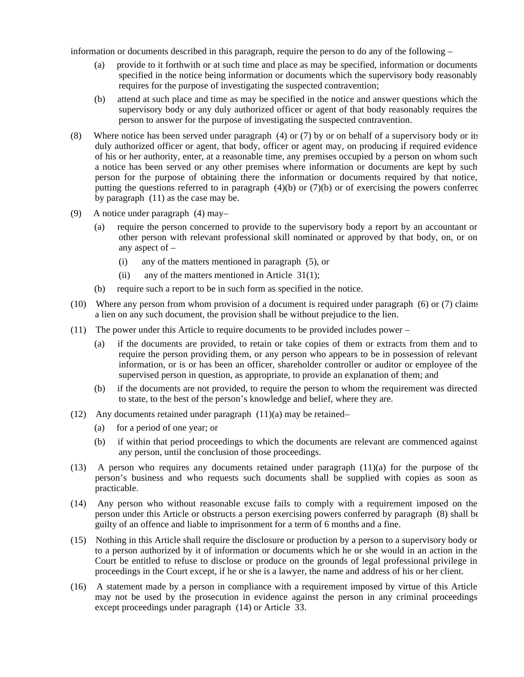information or documents described in this paragraph, require the person to do any of the following –

- (a) provide to it forthwith or at such time and place as may be specified, information or documents specified in the notice being information or documents which the supervisory body reasonably requires for the purpose of investigating the suspected contravention;
- (b) attend at such place and time as may be specified in the notice and answer questions which the supervisory body or any duly authorized officer or agent of that body reasonably requires the person to answer for the purpose of investigating the suspected contravention.
- (8) Where notice has been served under paragraph (4) or (7) by or on behalf of a supervisory body or its duly authorized officer or agent, that body, officer or agent may, on producing if required evidence of his or her authority, enter, at a reasonable time, any premises occupied by a person on whom such a notice has been served or any other premises where information or documents are kept by such person for the purpose of obtaining there the information or documents required by that notice, putting the questions referred to in paragraph  $(4)(b)$  or  $(7)(b)$  or of exercising the powers conferred by paragraph (11) as the case may be.
- (9) A notice under paragraph (4) may-
	- (a) require the person concerned to provide to the supervisory body a report by an accountant or other person with relevant professional skill nominated or approved by that body, on, or on any aspect of –
		- (i) any of the matters mentioned in paragraph (5), or
		- (ii) any of the matters mentioned in Article  $31(1)$ ;
	- (b) require such a report to be in such form as specified in the notice.
- (10) Where any person from whom provision of a document is required under paragraph (6) or (7) claims a lien on any such document, the provision shall be without prejudice to the lien.
- (11) The power under this Article to require documents to be provided includes power
	- (a) if the documents are provided, to retain or take copies of them or extracts from them and to require the person providing them, or any person who appears to be in possession of relevant information, or is or has been an officer, shareholder controller or auditor or employee of the supervised person in question, as appropriate, to provide an explanation of them; and
	- (b) if the documents are not provided, to require the person to whom the requirement was directed to state, to the best of the person's knowledge and belief, where they are.
- (12) Any documents retained under paragraph  $(11)(a)$  may be retained
	- (a) for a period of one year; or
	- (b) if within that period proceedings to which the documents are relevant are commenced against any person, until the conclusion of those proceedings.
- (13) A person who requires any documents retained under paragraph (11)(a) for the purpose of the person's business and who requests such documents shall be supplied with copies as soon as practicable.
- (14) Any person who without reasonable excuse fails to comply with a requirement imposed on the person under this Article or obstructs a person exercising powers conferred by paragraph (8) shall be guilty of an offence and liable to imprisonment for a term of 6 months and a fine.
- (15) Nothing in this Article shall require the disclosure or production by a person to a supervisory body or to a person authorized by it of information or documents which he or she would in an action in the Court be entitled to refuse to disclose or produce on the grounds of legal professional privilege in proceedings in the Court except, if he or she is a lawyer, the name and address of his or her client.
- (16) A statement made by a person in compliance with a requirement imposed by virtue of this Article may not be used by the prosecution in evidence against the person in any criminal proceedings except proceedings under paragraph (14) or Article 33.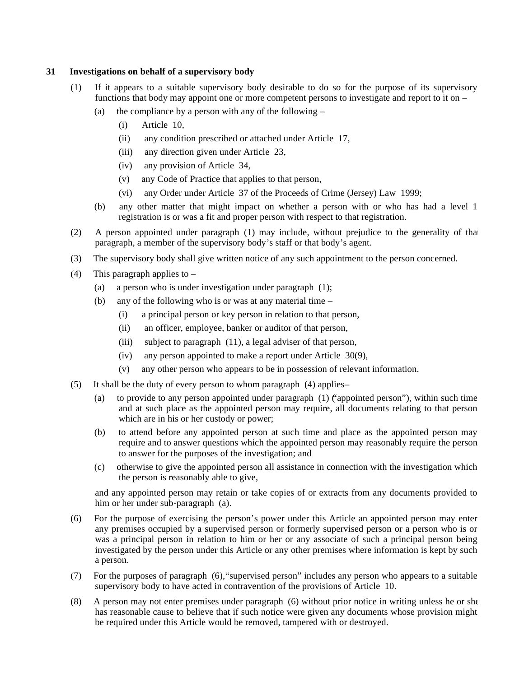## **31 Investigations on behalf of a supervisory body**

- (1) If it appears to a suitable supervisory body desirable to do so for the purpose of its supervisory functions that body may appoint one or more competent persons to investigate and report to it on –
	- (a) the compliance by a person with any of the following
		- (i) Article 10,
		- (ii) any condition prescribed or attached under Article 17,
		- (iii) any direction given under Article 23,
		- (iv) any provision of Article 34,
		- (v) any Code of Practice that applies to that person,
		- (vi) any Order under Article 37 of the Proceeds of Crime (Jersey) Law 1999;
	- (b) any other matter that might impact on whether a person with or who has had a level 1 registration is or was a fit and proper person with respect to that registration.
- (2) A person appointed under paragraph (1) may include, without prejudice to the generality of that paragraph, a member of the supervisory body's staff or that body's agent.
- (3) The supervisory body shall give written notice of any such appointment to the person concerned.
- (4) This paragraph applies to
	- (a) a person who is under investigation under paragraph (1);
	- (b) any of the following who is or was at any material time
		- (i) a principal person or key person in relation to that person,
		- (ii) an officer, employee, banker or auditor of that person,
		- (iii) subject to paragraph (11), a legal adviser of that person,
		- (iv) any person appointed to make a report under Article 30(9),
		- (v) any other person who appears to be in possession of relevant information.
- (5) It shall be the duty of every person to whom paragraph (4) applies
	- (a) to provide to any person appointed under paragraph (1) ("appointed person"), within such time and at such place as the appointed person may require, all documents relating to that person which are in his or her custody or power;
	- (b) to attend before any appointed person at such time and place as the appointed person may require and to answer questions which the appointed person may reasonably require the person to answer for the purposes of the investigation; and
	- (c) otherwise to give the appointed person all assistance in connection with the investigation which the person is reasonably able to give,

and any appointed person may retain or take copies of or extracts from any documents provided to him or her under sub-paragraph (a).

- (6) For the purpose of exercising the person's power under this Article an appointed person may enter any premises occupied by a supervised person or formerly supervised person or a person who is or was a principal person in relation to him or her or any associate of such a principal person being investigated by the person under this Article or any other premises where information is kept by such a person.
- (7) For the purposes of paragraph (6),"supervised person" includes any person who appears to a suitable supervisory body to have acted in contravention of the provisions of Article 10.
- (8) A person may not enter premises under paragraph (6) without prior notice in writing unless he or she has reasonable cause to believe that if such notice were given any documents whose provision might be required under this Article would be removed, tampered with or destroyed.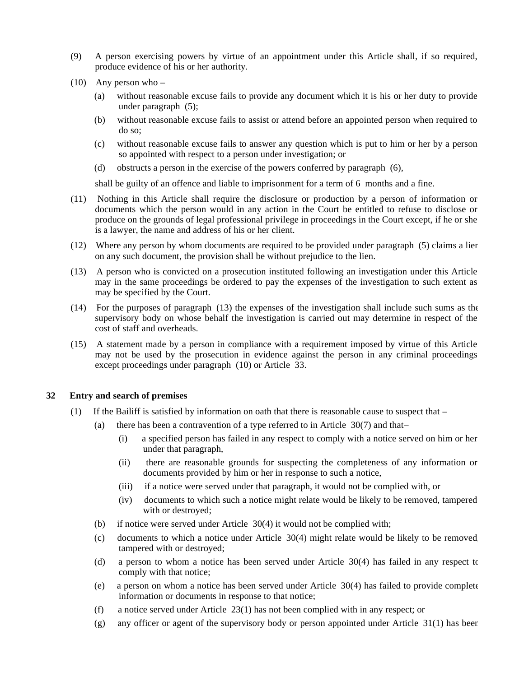- (9) A person exercising powers by virtue of an appointment under this Article shall, if so required, produce evidence of his or her authority.
- $(10)$  Any person who
	- (a) without reasonable excuse fails to provide any document which it is his or her duty to provide under paragraph (5);
	- (b) without reasonable excuse fails to assist or attend before an appointed person when required to do so;
	- (c) without reasonable excuse fails to answer any question which is put to him or her by a person so appointed with respect to a person under investigation; or
	- (d) obstructs a person in the exercise of the powers conferred by paragraph (6),

shall be guilty of an offence and liable to imprisonment for a term of 6 months and a fine.

- (11) Nothing in this Article shall require the disclosure or production by a person of information or documents which the person would in any action in the Court be entitled to refuse to disclose or produce on the grounds of legal professional privilege in proceedings in the Court except, if he or she is a lawyer, the name and address of his or her client.
- (12) Where any person by whom documents are required to be provided under paragraph (5) claims a lien on any such document, the provision shall be without prejudice to the lien.
- (13) A person who is convicted on a prosecution instituted following an investigation under this Article may in the same proceedings be ordered to pay the expenses of the investigation to such extent as may be specified by the Court.
- (14) For the purposes of paragraph (13) the expenses of the investigation shall include such sums as the supervisory body on whose behalf the investigation is carried out may determine in respect of the cost of staff and overheads.
- (15) A statement made by a person in compliance with a requirement imposed by virtue of this Article may not be used by the prosecution in evidence against the person in any criminal proceedings except proceedings under paragraph (10) or Article 33.

#### **32 Entry and search of premises**

- (1) If the Bailiff is satisfied by information on oath that there is reasonable cause to suspect that  $-$ 
	- (a) there has been a contravention of a type referred to in Article  $30(7)$  and that-
		- (i) a specified person has failed in any respect to comply with a notice served on him or her under that paragraph,
		- (ii) there are reasonable grounds for suspecting the completeness of any information or documents provided by him or her in response to such a notice,
		- (iii) if a notice were served under that paragraph, it would not be complied with, or
		- (iv) documents to which such a notice might relate would be likely to be removed, tampered with or destroyed;
	- (b) if notice were served under Article 30(4) it would not be complied with;
	- (c) documents to which a notice under Article 30(4) might relate would be likely to be removed, tampered with or destroyed;
	- (d) a person to whom a notice has been served under Article 30(4) has failed in any respect to comply with that notice;
	- (e) a person on whom a notice has been served under Article 30(4) has failed to provide complete information or documents in response to that notice;
	- (f) a notice served under Article 23(1) has not been complied with in any respect; or
	- (g) any officer or agent of the supervisory body or person appointed under Article 31(1) has been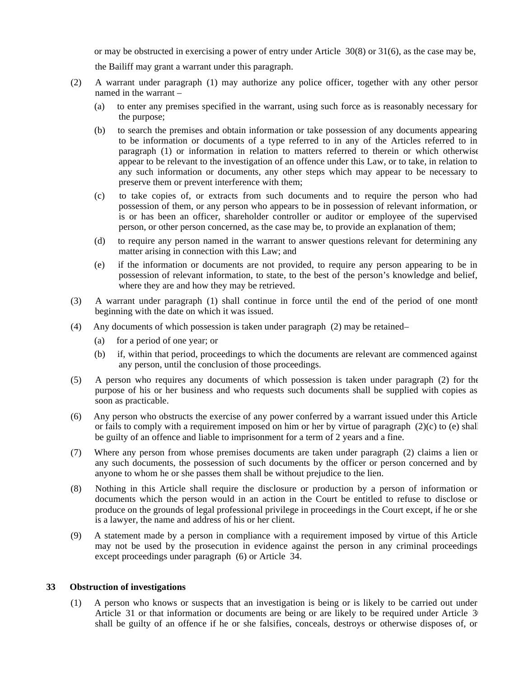or may be obstructed in exercising a power of entry under Article 30(8) or 31(6), as the case may be,

the Bailiff may grant a warrant under this paragraph.

- (2) A warrant under paragraph (1) may authorize any police officer, together with any other person named in the warrant –
	- (a) to enter any premises specified in the warrant, using such force as is reasonably necessary for the purpose;
	- (b) to search the premises and obtain information or take possession of any documents appearing to be information or documents of a type referred to in any of the Articles referred to in paragraph (1) or information in relation to matters referred to therein or which otherwise appear to be relevant to the investigation of an offence under this Law, or to take, in relation to any such information or documents, any other steps which may appear to be necessary to preserve them or prevent interference with them;
	- (c) to take copies of, or extracts from such documents and to require the person who had possession of them, or any person who appears to be in possession of relevant information, or is or has been an officer, shareholder controller or auditor or employee of the supervised person, or other person concerned, as the case may be, to provide an explanation of them;
	- (d) to require any person named in the warrant to answer questions relevant for determining any matter arising in connection with this Law; and
	- (e) if the information or documents are not provided, to require any person appearing to be in possession of relevant information, to state, to the best of the person's knowledge and belief, where they are and how they may be retrieved.
- (3) A warrant under paragraph (1) shall continue in force until the end of the period of one month beginning with the date on which it was issued.
- (4) Any documents of which possession is taken under paragraph (2) may be retained
	- (a) for a period of one year; or
	- (b) if, within that period, proceedings to which the documents are relevant are commenced against any person, until the conclusion of those proceedings.
- (5) A person who requires any documents of which possession is taken under paragraph (2) for the purpose of his or her business and who requests such documents shall be supplied with copies as soon as practicable.
- (6) Any person who obstructs the exercise of any power conferred by a warrant issued under this Article or fails to comply with a requirement imposed on him or her by virtue of paragraph  $(2)(c)$  to  $(e)$  shall be guilty of an offence and liable to imprisonment for a term of 2 years and a fine.
- (7) Where any person from whose premises documents are taken under paragraph (2) claims a lien on any such documents, the possession of such documents by the officer or person concerned and by anyone to whom he or she passes them shall be without prejudice to the lien.
- (8) Nothing in this Article shall require the disclosure or production by a person of information or documents which the person would in an action in the Court be entitled to refuse to disclose or produce on the grounds of legal professional privilege in proceedings in the Court except, if he or she is a lawyer, the name and address of his or her client.
- (9) A statement made by a person in compliance with a requirement imposed by virtue of this Article may not be used by the prosecution in evidence against the person in any criminal proceedings except proceedings under paragraph (6) or Article 34.

# **33 Obstruction of investigations**

(1) A person who knows or suspects that an investigation is being or is likely to be carried out under Article 31 or that information or documents are being or are likely to be required under Article 3 shall be guilty of an offence if he or she falsifies, conceals, destroys or otherwise disposes of, or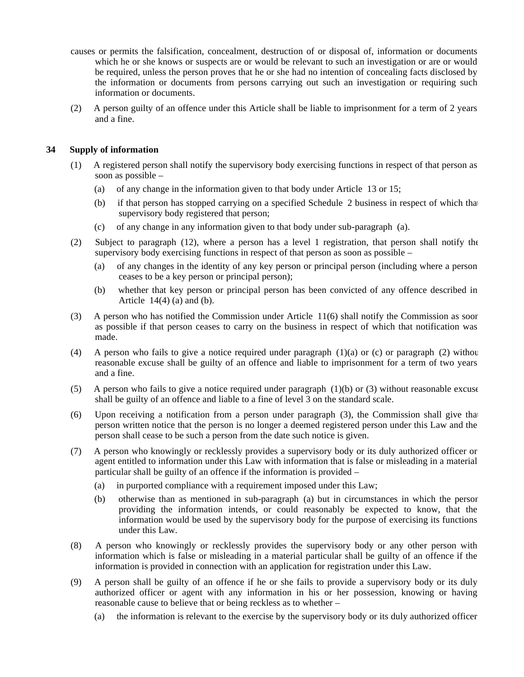- causes or permits the falsification, concealment, destruction of or disposal of, information or documents which he or she knows or suspects are or would be relevant to such an investigation or are or would be required, unless the person proves that he or she had no intention of concealing facts disclosed by the information or documents from persons carrying out such an investigation or requiring such information or documents.
- (2) A person guilty of an offence under this Article shall be liable to imprisonment for a term of 2 years and a fine.

# **34 Supply of information**

- (1) A registered person shall notify the supervisory body exercising functions in respect of that person as soon as possible –
	- (a) of any change in the information given to that body under Article 13 or 15;
	- (b) if that person has stopped carrying on a specified Schedule 2 business in respect of which that supervisory body registered that person;
	- (c) of any change in any information given to that body under sub-paragraph (a).
- (2) Subject to paragraph (12), where a person has a level 1 registration, that person shall notify the supervisory body exercising functions in respect of that person as soon as possible –
	- (a) of any changes in the identity of any key person or principal person (including where a person ceases to be a key person or principal person);
	- (b) whether that key person or principal person has been convicted of any offence described in Article  $14(4)$  (a) and (b).
- (3) A person who has notified the Commission under Article 11(6) shall notify the Commission as soon as possible if that person ceases to carry on the business in respect of which that notification was made.
- (4) A person who fails to give a notice required under paragraph  $(1)(a)$  or  $(c)$  or paragraph  $(2)$  withou reasonable excuse shall be guilty of an offence and liable to imprisonment for a term of two years and a fine.
- (5) A person who fails to give a notice required under paragraph (1)(b) or (3) without reasonable excuse shall be guilty of an offence and liable to a fine of level 3 on the standard scale.
- (6) Upon receiving a notification from a person under paragraph (3), the Commission shall give that person written notice that the person is no longer a deemed registered person under this Law and the person shall cease to be such a person from the date such notice is given.
- (7) A person who knowingly or recklessly provides a supervisory body or its duly authorized officer or agent entitled to information under this Law with information that is false or misleading in a material particular shall be guilty of an offence if the information is provided –
	- (a) in purported compliance with a requirement imposed under this Law;
	- (b) otherwise than as mentioned in sub-paragraph (a) but in circumstances in which the person providing the information intends, or could reasonably be expected to know, that the information would be used by the supervisory body for the purpose of exercising its functions under this Law.
- (8) A person who knowingly or recklessly provides the supervisory body or any other person with information which is false or misleading in a material particular shall be guilty of an offence if the information is provided in connection with an application for registration under this Law.
- (9) A person shall be guilty of an offence if he or she fails to provide a supervisory body or its duly authorized officer or agent with any information in his or her possession, knowing or having reasonable cause to believe that or being reckless as to whether –
	- (a) the information is relevant to the exercise by the supervisory body or its duly authorized officer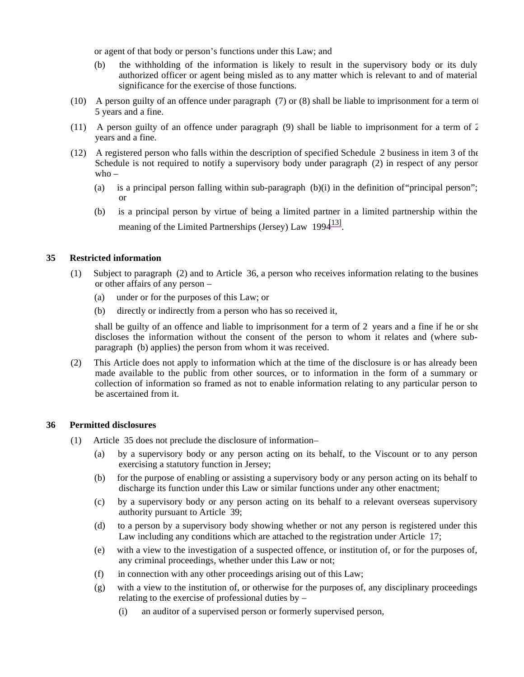or agent of that body or person's functions under this Law; and

- (b) the withholding of the information is likely to result in the supervisory body or its duly authorized officer or agent being misled as to any matter which is relevant to and of material significance for the exercise of those functions.
- (10) A person guilty of an offence under paragraph (7) or (8) shall be liable to imprisonment for a term of 5 years and a fine.
- (11) A person guilty of an offence under paragraph (9) shall be liable to imprisonment for a term of 2 years and a fine.
- (12) A registered person who falls within the description of specified Schedule 2 business in item 3 of the Schedule is not required to notify a supervisory body under paragraph (2) in respect of any person who –
	- (a) is a principal person falling within sub-paragraph (b)(i) in the definition of"principal person"; or
	- (b) is a principal person by virtue of being a limited partner in a limited partnership within the meaning of the Limited Partnerships (Jersey) Law  $1994^{13}$ .

# **35 Restricted information**

- (1) Subject to paragraph (2) and to Article 36, a person who receives information relating to the business or other affairs of any person –
	- (a) under or for the purposes of this Law; or
	- (b) directly or indirectly from a person who has so received it,

shall be guilty of an offence and liable to imprisonment for a term of 2 years and a fine if he or she discloses the information without the consent of the person to whom it relates and (where subparagraph (b) applies) the person from whom it was received.

(2) This Article does not apply to information which at the time of the disclosure is or has already been made available to the public from other sources, or to information in the form of a summary or collection of information so framed as not to enable information relating to any particular person to be ascertained from it.

#### **36 Permitted disclosures**

- (1) Article 35 does not preclude the disclosure of information
	- (a) by a supervisory body or any person acting on its behalf, to the Viscount or to any person exercising a statutory function in Jersey;
	- (b) for the purpose of enabling or assisting a supervisory body or any person acting on its behalf to discharge its function under this Law or similar functions under any other enactment;
	- (c) by a supervisory body or any person acting on its behalf to a relevant overseas supervisory authority pursuant to Article 39;
	- (d) to a person by a supervisory body showing whether or not any person is registered under this Law including any conditions which are attached to the registration under Article 17;
	- (e) with a view to the investigation of a suspected offence, or institution of, or for the purposes of, any criminal proceedings, whether under this Law or not;
	- (f) in connection with any other proceedings arising out of this Law;
	- (g) with a view to the institution of, or otherwise for the purposes of, any disciplinary proceedings relating to the exercise of professional duties by –
		- (i) an auditor of a supervised person or formerly supervised person,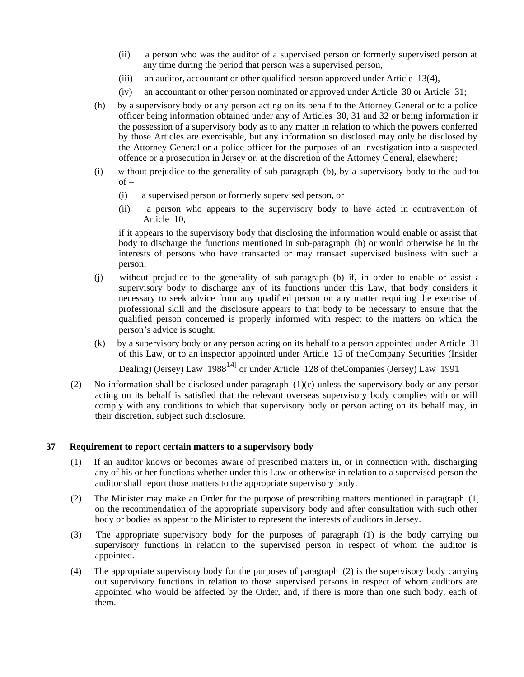- (ii) a person who was the auditor of a supervised person or formerly supervised person at any time during the period that person was a supervised person,
- (iii) an auditor, accountant or other qualified person approved under Article 13(4),
- (iv) an accountant or other person nominated or approved under Article 30 or Article 31;
- (h) by a supervisory body or any person acting on its behalf to the Attorney General or to a police officer being information obtained under any of Articles 30, 31 and 32 or being information in the possession of a supervisory body as to any matter in relation to which the powers conferred by those Articles are exercisable, but any information so disclosed may only be disclosed by the Attorney General or a police officer for the purposes of an investigation into a suspected offence or a prosecution in Jersey or, at the discretion of the Attorney General, elsewhere;
- (i) without prejudice to the generality of sub-paragraph (b), by a supervisory body to the auditor  $of -$ 
	- (i) a supervised person or formerly supervised person, or
	- (ii) a person who appears to the supervisory body to have acted in contravention of Article 10,

if it appears to the supervisory body that disclosing the information would enable or assist that body to discharge the functions mentioned in sub-paragraph (b) or would otherwise be in the interests of persons who have transacted or may transact supervised business with such a person;

- (j) without prejudice to the generality of sub-paragraph (b) if, in order to enable or assist  $\epsilon$ supervisory body to discharge any of its functions under this Law, that body considers it necessary to seek advice from any qualified person on any matter requiring the exercise of professional skill and the disclosure appears to that body to be necessary to ensure that the qualified person concerned is properly informed with respect to the matters on which the person's advice is sought;
- (k) by a supervisory body or any person acting on its behalf to a person appointed under Article 31 of this Law, or to an inspector appointed under Article 15 of theCompany Securities (Insider

Dealing) (Jersey) Law  $1988^{14}$  or under Article 128 of the Companies (Jersey) Law 1991.

(2) No information shall be disclosed under paragraph (1)(c) unless the supervisory body or any person acting on its behalf is satisfied that the relevant overseas supervisory body complies with or will comply with any conditions to which that supervisory body or person acting on its behalf may, in their discretion, subject such disclosure.

# **37 Requirement to report certain matters to a supervisory body**

- (1) If an auditor knows or becomes aware of prescribed matters in, or in connection with, discharging any of his or her functions whether under this Law or otherwise in relation to a supervised person the auditor shall report those matters to the appropriate supervisory body.
- (2) The Minister may make an Order for the purpose of prescribing matters mentioned in paragraph (1) on the recommendation of the appropriate supervisory body and after consultation with such other body or bodies as appear to the Minister to represent the interests of auditors in Jersey.
- (3) The appropriate supervisory body for the purposes of paragraph (1) is the body carrying out supervisory functions in relation to the supervised person in respect of whom the auditor is appointed.
- (4) The appropriate supervisory body for the purposes of paragraph (2) is the supervisory body carrying out supervisory functions in relation to those supervised persons in respect of whom auditors are appointed who would be affected by the Order, and, if there is more than one such body, each of them.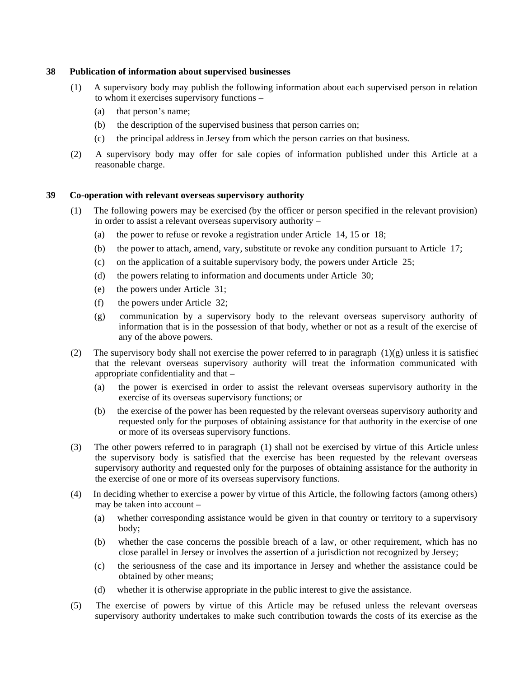#### **38 Publication of information about supervised businesses**

- (1) A supervisory body may publish the following information about each supervised person in relation to whom it exercises supervisory functions –
	- (a) that person's name;
	- (b) the description of the supervised business that person carries on;
	- (c) the principal address in Jersey from which the person carries on that business.
- (2) A supervisory body may offer for sale copies of information published under this Article at a reasonable charge.

# **39 Co-operation with relevant overseas supervisory authority**

- (1) The following powers may be exercised (by the officer or person specified in the relevant provision) in order to assist a relevant overseas supervisory authority –
	- (a) the power to refuse or revoke a registration under Article 14, 15 or 18;
	- (b) the power to attach, amend, vary, substitute or revoke any condition pursuant to Article 17;
	- (c) on the application of a suitable supervisory body, the powers under Article 25;
	- (d) the powers relating to information and documents under Article 30;
	- (e) the powers under Article 31;
	- (f) the powers under Article 32;
	- (g) communication by a supervisory body to the relevant overseas supervisory authority of information that is in the possession of that body, whether or not as a result of the exercise of any of the above powers.
- (2) The supervisory body shall not exercise the power referred to in paragraph  $(1)(g)$  unless it is satisfied that the relevant overseas supervisory authority will treat the information communicated with appropriate confidentiality and that –
	- (a) the power is exercised in order to assist the relevant overseas supervisory authority in the exercise of its overseas supervisory functions; or
	- (b) the exercise of the power has been requested by the relevant overseas supervisory authority and requested only for the purposes of obtaining assistance for that authority in the exercise of one or more of its overseas supervisory functions.
- (3) The other powers referred to in paragraph (1) shall not be exercised by virtue of this Article unless the supervisory body is satisfied that the exercise has been requested by the relevant overseas supervisory authority and requested only for the purposes of obtaining assistance for the authority in the exercise of one or more of its overseas supervisory functions.
- (4) In deciding whether to exercise a power by virtue of this Article, the following factors (among others) may be taken into account –
	- (a) whether corresponding assistance would be given in that country or territory to a supervisory body;
	- (b) whether the case concerns the possible breach of a law, or other requirement, which has no close parallel in Jersey or involves the assertion of a jurisdiction not recognized by Jersey;
	- (c) the seriousness of the case and its importance in Jersey and whether the assistance could be obtained by other means;
	- (d) whether it is otherwise appropriate in the public interest to give the assistance.
- (5) The exercise of powers by virtue of this Article may be refused unless the relevant overseas supervisory authority undertakes to make such contribution towards the costs of its exercise as the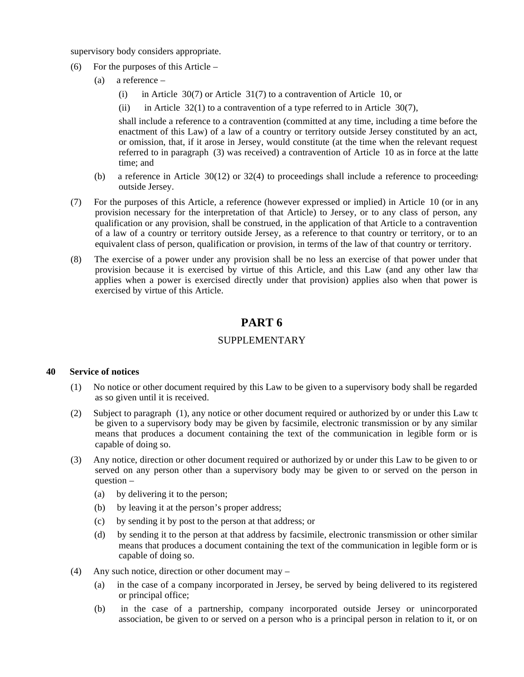supervisory body considers appropriate.

- (6) For the purposes of this Article
	- (a) a reference
		- (i) in Article 30(7) or Article 31(7) to a contravention of Article 10, or
		- (ii) in Article  $32(1)$  to a contravention of a type referred to in Article  $30(7)$ ,

shall include a reference to a contravention (committed at any time, including a time before the enactment of this Law) of a law of a country or territory outside Jersey constituted by an act, or omission, that, if it arose in Jersey, would constitute (at the time when the relevant request referred to in paragraph  $(3)$  was received) a contravention of Article 10 as in force at the latte time; and

- (b) a reference in Article 30(12) or 32(4) to proceedings shall include a reference to proceedings outside Jersey.
- (7) For the purposes of this Article, a reference (however expressed or implied) in Article 10 (or in any provision necessary for the interpretation of that Article) to Jersey, or to any class of person, any qualification or any provision, shall be construed, in the application of that Article to a contravention of a law of a country or territory outside Jersey, as a reference to that country or territory, or to an equivalent class of person, qualification or provision, in terms of the law of that country or territory.
- (8) The exercise of a power under any provision shall be no less an exercise of that power under that provision because it is exercised by virtue of this Article, and this Law (and any other law that applies when a power is exercised directly under that provision) applies also when that power is exercised by virtue of this Article.

# **PART 6**

# SUPPLEMENTARY

#### **40 Service of notices**

- (1) No notice or other document required by this Law to be given to a supervisory body shall be regarded as so given until it is received.
- (2) Subject to paragraph (1), any notice or other document required or authorized by or under this Law to be given to a supervisory body may be given by facsimile, electronic transmission or by any similar means that produces a document containing the text of the communication in legible form or is capable of doing so.
- (3) Any notice, direction or other document required or authorized by or under this Law to be given to or served on any person other than a supervisory body may be given to or served on the person in question –
	- (a) by delivering it to the person;
	- (b) by leaving it at the person's proper address;
	- (c) by sending it by post to the person at that address; or
	- (d) by sending it to the person at that address by facsimile, electronic transmission or other similar means that produces a document containing the text of the communication in legible form or is capable of doing so.
- (4) Any such notice, direction or other document may
	- (a) in the case of a company incorporated in Jersey, be served by being delivered to its registered or principal office;
	- (b) in the case of a partnership, company incorporated outside Jersey or unincorporated association, be given to or served on a person who is a principal person in relation to it, or on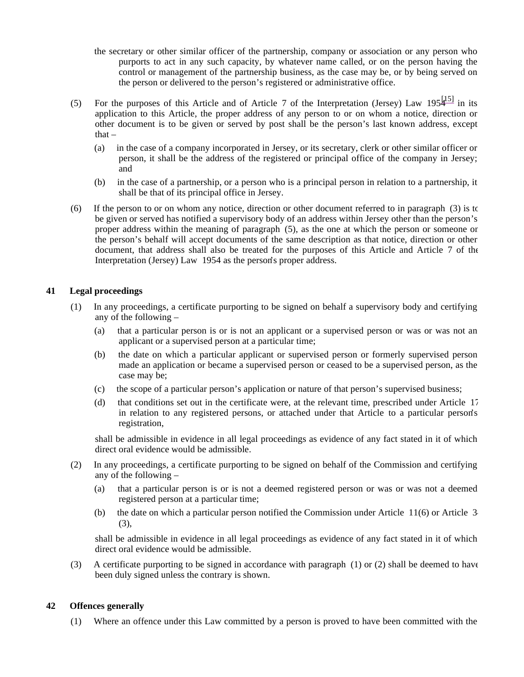- the secretary or other similar officer of the partnership, company or association or any person who purports to act in any such capacity, by whatever name called, or on the person having the control or management of the partnership business, as the case may be, or by being served on the person or delivered to the person's registered or administrative office.
- (5) For the purposes of this Article and of Article 7 of the Interpretation (Jersey) Law  $195\frac{15}{10}$  in its application to this Article, the proper address of any person to or on whom a notice, direction or other document is to be given or served by post shall be the person's last known address, except that $-$ 
	- (a) in the case of a company incorporated in Jersey, or its secretary, clerk or other similar officer or person, it shall be the address of the registered or principal office of the company in Jersey; and
	- (b) in the case of a partnership, or a person who is a principal person in relation to a partnership, it shall be that of its principal office in Jersey.
- (6) If the person to or on whom any notice, direction or other document referred to in paragraph (3) is to be given or served has notified a supervisory body of an address within Jersey other than the person's proper address within the meaning of paragraph (5), as the one at which the person or someone on the person's behalf will accept documents of the same description as that notice, direction or other document, that address shall also be treated for the purposes of this Article and Article 7 of the Interpretation (Jersey) Law 1954 as the person's proper address.

# **41 Legal proceedings**

- (1) In any proceedings, a certificate purporting to be signed on behalf a supervisory body and certifying any of the following –
	- (a) that a particular person is or is not an applicant or a supervised person or was or was not an applicant or a supervised person at a particular time;
	- (b) the date on which a particular applicant or supervised person or formerly supervised person made an application or became a supervised person or ceased to be a supervised person, as the case may be;
	- (c) the scope of a particular person's application or nature of that person's supervised business;
	- (d) that conditions set out in the certificate were, at the relevant time, prescribed under Article 17 in relation to any registered persons, or attached under that Article to a particular person's registration,

shall be admissible in evidence in all legal proceedings as evidence of any fact stated in it of which direct oral evidence would be admissible.

- (2) In any proceedings, a certificate purporting to be signed on behalf of the Commission and certifying any of the following –
	- (a) that a particular person is or is not a deemed registered person or was or was not a deemed registered person at a particular time;
	- (b) the date on which a particular person notified the Commission under Article 11(6) or Article 34 (3),

shall be admissible in evidence in all legal proceedings as evidence of any fact stated in it of which direct oral evidence would be admissible.

(3) A certificate purporting to be signed in accordance with paragraph (1) or (2) shall be deemed to have been duly signed unless the contrary is shown.

# **42 Offences generally**

(1) Where an offence under this Law committed by a person is proved to have been committed with the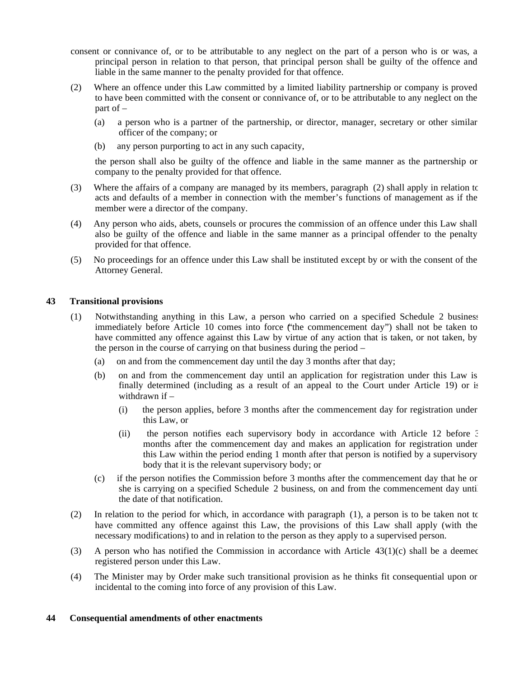- consent or connivance of, or to be attributable to any neglect on the part of a person who is or was, a principal person in relation to that person, that principal person shall be guilty of the offence and liable in the same manner to the penalty provided for that offence.
- (2) Where an offence under this Law committed by a limited liability partnership or company is proved to have been committed with the consent or connivance of, or to be attributable to any neglect on the part of –
	- (a) a person who is a partner of the partnership, or director, manager, secretary or other similar officer of the company; or
	- (b) any person purporting to act in any such capacity,

the person shall also be guilty of the offence and liable in the same manner as the partnership or company to the penalty provided for that offence.

- (3) Where the affairs of a company are managed by its members, paragraph (2) shall apply in relation to acts and defaults of a member in connection with the member's functions of management as if the member were a director of the company.
- (4) Any person who aids, abets, counsels or procures the commission of an offence under this Law shall also be guilty of the offence and liable in the same manner as a principal offender to the penalty provided for that offence.
- (5) No proceedings for an offence under this Law shall be instituted except by or with the consent of the Attorney General.

#### **43 Transitional provisions**

- (1) Notwithstanding anything in this Law, a person who carried on a specified Schedule 2 business immediately before Article 10 comes into force ("the commencement day") shall not be taken to have committed any offence against this Law by virtue of any action that is taken, or not taken, by the person in the course of carrying on that business during the period –
	- (a) on and from the commencement day until the day 3 months after that day;
	- (b) on and from the commencement day until an application for registration under this Law is finally determined (including as a result of an appeal to the Court under Article 19) or is withdrawn if –
		- (i) the person applies, before 3 months after the commencement day for registration under this Law, or
		- (ii) the person notifies each supervisory body in accordance with Article 12 before 3 months after the commencement day and makes an application for registration under this Law within the period ending 1 month after that person is notified by a supervisory body that it is the relevant supervisory body; or
	- (c) if the person notifies the Commission before 3 months after the commencement day that he or she is carrying on a specified Schedule 2 business, on and from the commencement day until the date of that notification.
- (2) In relation to the period for which, in accordance with paragraph (1), a person is to be taken not to have committed any offence against this Law, the provisions of this Law shall apply (with the necessary modifications) to and in relation to the person as they apply to a supervised person.
- (3) A person who has notified the Commission in accordance with Article  $43(1)(c)$  shall be a deemed registered person under this Law.
- (4) The Minister may by Order make such transitional provision as he thinks fit consequential upon or incidental to the coming into force of any provision of this Law.

# **44 Consequential amendments of other enactments**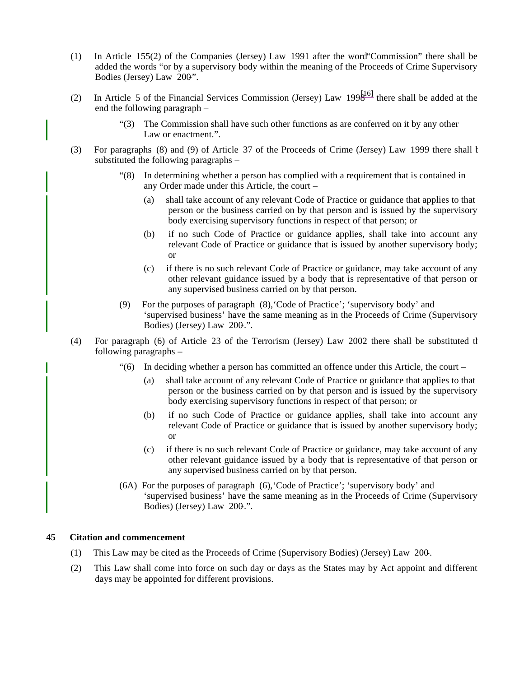- (1) In Article 155(2) of the Companies (Jersey) Law 1991 after the word"Commission" there shall be added the words "or by a supervisory body within the meaning of the Proceeds of Crime Supervisory Bodies (Jersey) Law 200".
- (2) In Article 5 of the Financial Services Commission (Jersey) Law 199 $\frac{[16]}{[16]}$  there shall be added at the end the following paragraph –
	- "(3) The Commission shall have such other functions as are conferred on it by any other Law or enactment.".
- (3) For paragraphs (8) and (9) of Article 37 of the Proceeds of Crime (Jersey) Law 1999 there shall be substituted the following paragraphs –
	- "(8) In determining whether a person has complied with a requirement that is contained in any Order made under this Article, the court –
		- (a) shall take account of any relevant Code of Practice or guidance that applies to that person or the business carried on by that person and is issued by the supervisory body exercising supervisory functions in respect of that person; or
		- (b) if no such Code of Practice or guidance applies, shall take into account any relevant Code of Practice or guidance that is issued by another supervisory body; or
		- (c) if there is no such relevant Code of Practice or guidance, may take account of any other relevant guidance issued by a body that is representative of that person or any supervised business carried on by that person.
	- (9) For the purposes of paragraph (8),'Code of Practice'; 'supervisory body' and 'supervised business' have the same meaning as in the Proceeds of Crime (Supervisory Bodies) (Jersey) Law 200.".
- (4) For paragraph (6) of Article 23 of the Terrorism (Jersey) Law 2002 there shall be substituted the following paragraphs –
	- "(6) In deciding whether a person has committed an offence under this Article, the court
		- (a) shall take account of any relevant Code of Practice or guidance that applies to that person or the business carried on by that person and is issued by the supervisory body exercising supervisory functions in respect of that person; or
		- (b) if no such Code of Practice or guidance applies, shall take into account any relevant Code of Practice or guidance that is issued by another supervisory body; or
		- (c) if there is no such relevant Code of Practice or guidance, may take account of any other relevant guidance issued by a body that is representative of that person or any supervised business carried on by that person.
	- (6A) For the purposes of paragraph (6),'Code of Practice'; 'supervisory body' and 'supervised business' have the same meaning as in the Proceeds of Crime (Supervisory Bodies) (Jersey) Law 200.".

#### **45 Citation and commencement**

- (1) This Law may be cited as the Proceeds of Crime (Supervisory Bodies) (Jersey) Law 200-.
- (2) This Law shall come into force on such day or days as the States may by Act appoint and different days may be appointed for different provisions.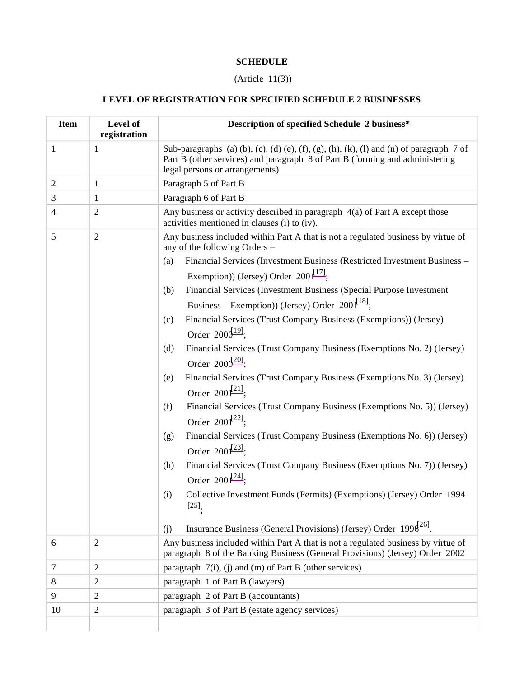# **SCHEDULE**

# (Article 11(3))

# **LEVEL OF REGISTRATION FOR SPECIFIED SCHEDULE 2 BUSINESSES**

| <b>Item</b>    | Level of<br>registration | Description of specified Schedule 2 business*                                                                                                                                                                                                                                                                                                                                                                                                                                                                                                                                                                                                                                                                                                                                                                                                                                                                                                                                                                                                                                                                                                            |  |
|----------------|--------------------------|----------------------------------------------------------------------------------------------------------------------------------------------------------------------------------------------------------------------------------------------------------------------------------------------------------------------------------------------------------------------------------------------------------------------------------------------------------------------------------------------------------------------------------------------------------------------------------------------------------------------------------------------------------------------------------------------------------------------------------------------------------------------------------------------------------------------------------------------------------------------------------------------------------------------------------------------------------------------------------------------------------------------------------------------------------------------------------------------------------------------------------------------------------|--|
| $\mathbf{1}$   | $\mathbf{1}$             | Sub-paragraphs (a) (b), (c), (d) (e), (f), (g), (h), (k), (l) and (n) of paragraph $7$ of<br>Part B (other services) and paragraph 8 of Part B (forming and administering<br>legal persons or arrangements)                                                                                                                                                                                                                                                                                                                                                                                                                                                                                                                                                                                                                                                                                                                                                                                                                                                                                                                                              |  |
| $\overline{2}$ | $\mathbf{1}$             | Paragraph 5 of Part B                                                                                                                                                                                                                                                                                                                                                                                                                                                                                                                                                                                                                                                                                                                                                                                                                                                                                                                                                                                                                                                                                                                                    |  |
| 3              | $\mathbf{1}$             | Paragraph 6 of Part B                                                                                                                                                                                                                                                                                                                                                                                                                                                                                                                                                                                                                                                                                                                                                                                                                                                                                                                                                                                                                                                                                                                                    |  |
| $\overline{4}$ | $\mathbf{2}$             | Any business or activity described in paragraph $4(a)$ of Part A except those<br>activities mentioned in clauses (i) to (iv).                                                                                                                                                                                                                                                                                                                                                                                                                                                                                                                                                                                                                                                                                                                                                                                                                                                                                                                                                                                                                            |  |
| 5              | $\overline{2}$           | Any business included within Part A that is not a regulated business by virtue of<br>any of the following Orders -<br>Financial Services (Investment Business (Restricted Investment Business -<br>(a)<br>Exemption)) (Jersey) Order $200\frac{[17]}{[17]}$ ;<br>Financial Services (Investment Business (Special Purpose Investment<br>(b)<br>Business – Exemption) (Jersey) Order 200 $\sqrt{^{18}}$ ;<br>Financial Services (Trust Company Business (Exemptions)) (Jersey)<br>(c)<br>Order $2006^{191}$ ;<br>Financial Services (Trust Company Business (Exemptions No. 2) (Jersey)<br>(d)<br>Order $2000^{20}$ ;<br>Financial Services (Trust Company Business (Exemptions No. 3) (Jersey)<br>(e)<br>Order $200^{[21]}$ ;<br>Financial Services (Trust Company Business (Exemptions No. 5)) (Jersey)<br>(f)<br>Order $200^{[22]}$ ;<br>Financial Services (Trust Company Business (Exemptions No. 6)) (Jersey)<br>(g)<br>Order $200\frac{123}{1}$ ;<br>Financial Services (Trust Company Business (Exemptions No. 7)) (Jersey)<br>(h)<br>Order $200\frac{241}{7}$ ;<br>Collective Investment Funds (Permits) (Exemptions) (Jersey) Order 1994<br>(i) |  |
|                |                          | $[25]$<br>Insurance Business (General Provisions) (Jersey) Order $1996^{26}$ .<br>(j)                                                                                                                                                                                                                                                                                                                                                                                                                                                                                                                                                                                                                                                                                                                                                                                                                                                                                                                                                                                                                                                                    |  |
| 6              | $\mathfrak{2}$           | Any business included within Part A that is not a regulated business by virtue of<br>paragraph 8 of the Banking Business (General Provisions) (Jersey) Order 2002                                                                                                                                                                                                                                                                                                                                                                                                                                                                                                                                                                                                                                                                                                                                                                                                                                                                                                                                                                                        |  |
| 7              | $\overline{2}$           | paragraph $7(i)$ , (j) and (m) of Part B (other services)                                                                                                                                                                                                                                                                                                                                                                                                                                                                                                                                                                                                                                                                                                                                                                                                                                                                                                                                                                                                                                                                                                |  |
| 8              | 2                        | paragraph 1 of Part B (lawyers)                                                                                                                                                                                                                                                                                                                                                                                                                                                                                                                                                                                                                                                                                                                                                                                                                                                                                                                                                                                                                                                                                                                          |  |
| 9              | 2                        | paragraph 2 of Part B (accountants)                                                                                                                                                                                                                                                                                                                                                                                                                                                                                                                                                                                                                                                                                                                                                                                                                                                                                                                                                                                                                                                                                                                      |  |
| 10             | 2                        | paragraph 3 of Part B (estate agency services)                                                                                                                                                                                                                                                                                                                                                                                                                                                                                                                                                                                                                                                                                                                                                                                                                                                                                                                                                                                                                                                                                                           |  |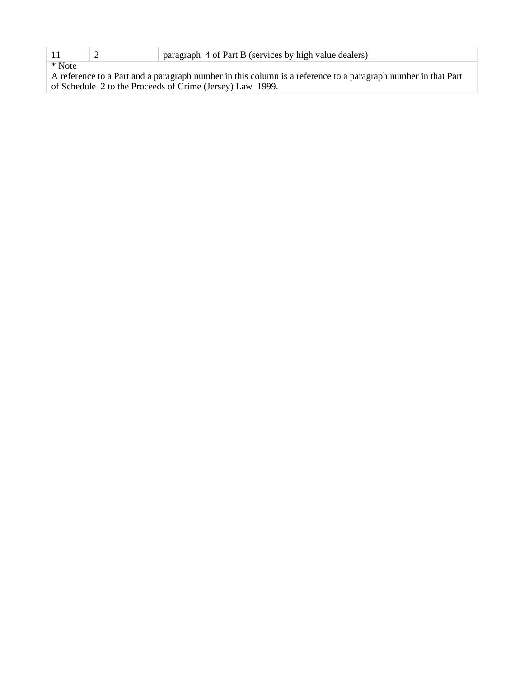\* Note

A reference to a Part and a paragraph number in this column is a reference to a paragraph number in that Part of Schedule 2 to the Proceeds of Crime (Jersey) Law 1999.